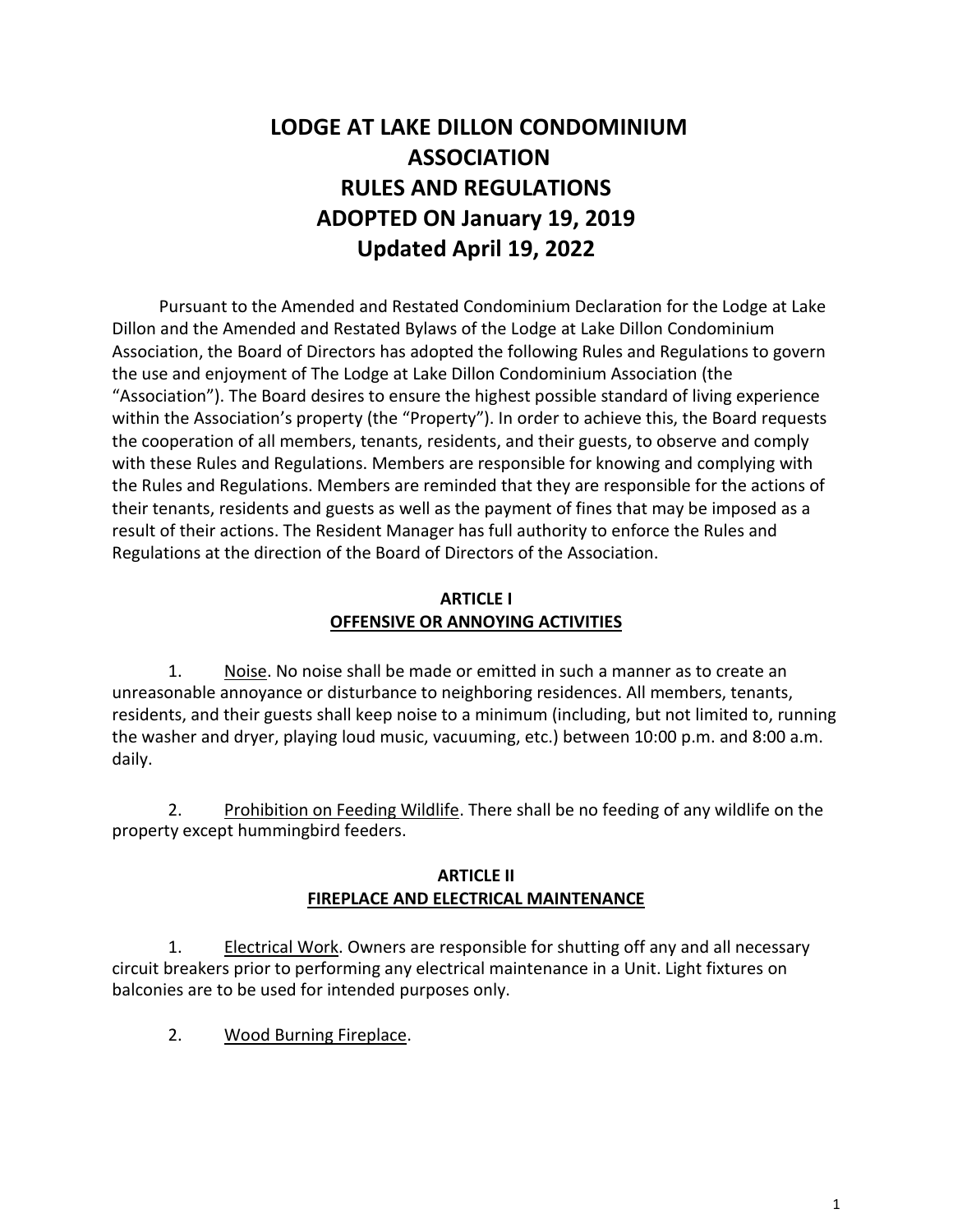# **LODGE AT LAKE DILLON CONDOMINIUM ASSOCIATION RULES AND REGULATIONS ADOPTED ON January 19, 2019 Updated April 19, 2022**

Pursuant to the Amended and Restated Condominium Declaration for the Lodge at Lake Dillon and the Amended and Restated Bylaws of the Lodge at Lake Dillon Condominium Association, the Board of Directors has adopted the following Rules and Regulations to govern the use and enjoyment of The Lodge at Lake Dillon Condominium Association (the "Association"). The Board desires to ensure the highest possible standard of living experience within the Association's property (the "Property"). In order to achieve this, the Board requests the cooperation of all members, tenants, residents, and their guests, to observe and comply with these Rules and Regulations. Members are responsible for knowing and complying with the Rules and Regulations. Members are reminded that they are responsible for the actions of their tenants, residents and guests as well as the payment of fines that may be imposed as a result of their actions. The Resident Manager has full authority to enforce the Rules and Regulations at the direction of the Board of Directors of the Association.

# **ARTICLE I OFFENSIVE OR ANNOYING ACTIVITIES**

1. Noise. No noise shall be made or emitted in such a manner as to create an unreasonable annoyance or disturbance to neighboring residences. All members, tenants, residents, and their guests shall keep noise to a minimum (including, but not limited to, running the washer and dryer, playing loud music, vacuuming, etc.) between 10:00 p.m. and 8:00 a.m. daily.

2. Prohibition on Feeding Wildlife. There shall be no feeding of any wildlife on the property except hummingbird feeders.

### **ARTICLE II FIREPLACE AND ELECTRICAL MAINTENANCE**

1. Electrical Work. Owners are responsible for shutting off any and all necessary circuit breakers prior to performing any electrical maintenance in a Unit. Light fixtures on balconies are to be used for intended purposes only.

2. Wood Burning Fireplace.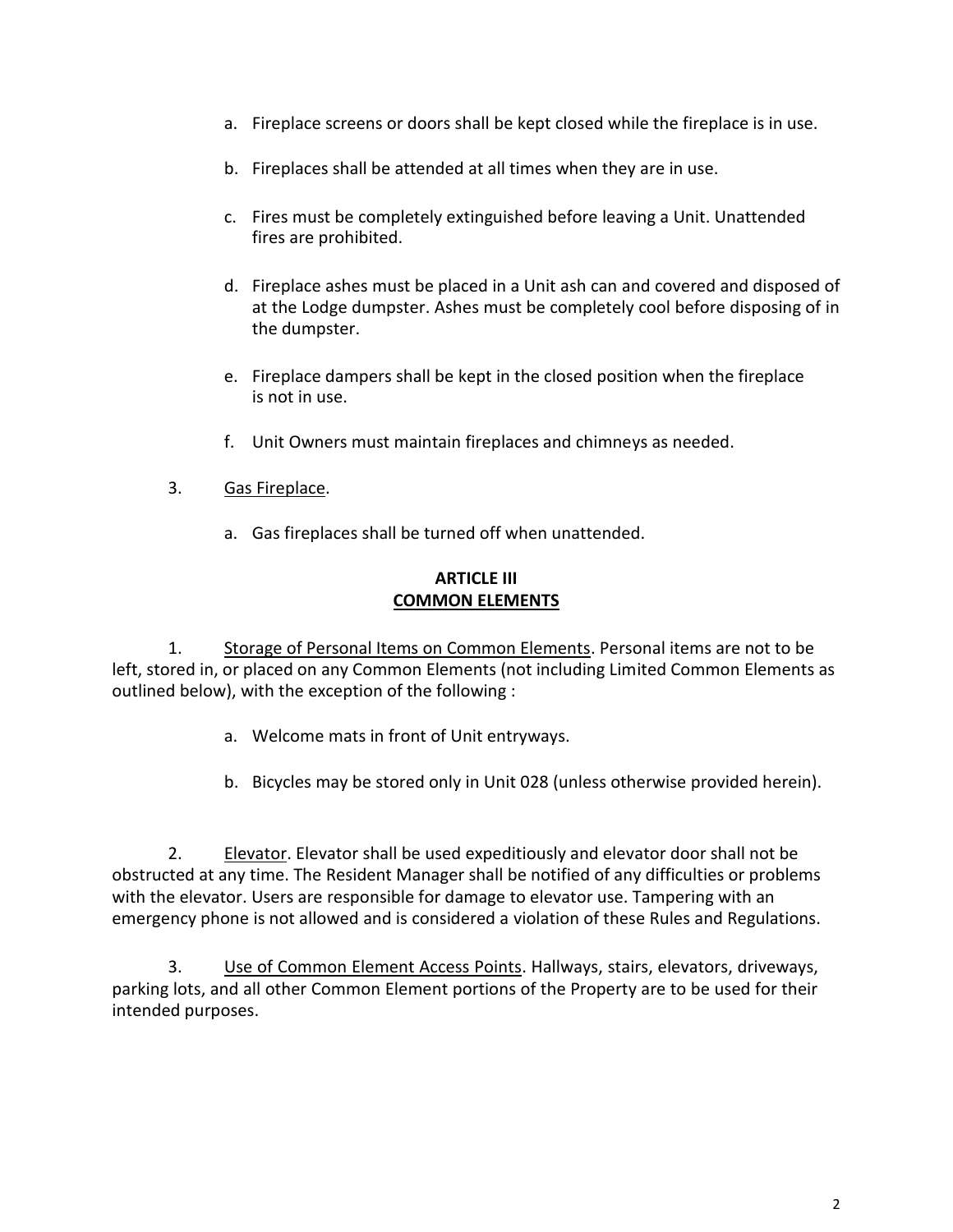- a. Fireplace screens or doors shall be kept closed while the fireplace is in use.
- b. Fireplaces shall be attended at all times when they are in use.
- c. Fires must be completely extinguished before leaving a Unit. Unattended fires are prohibited.
- d. Fireplace ashes must be placed in a Unit ash can and covered and disposed of at the Lodge dumpster. Ashes must be completely cool before disposing of in the dumpster.
- e. Fireplace dampers shall be kept in the closed position when the fireplace is not in use.
- f. Unit Owners must maintain fireplaces and chimneys as needed.
- 3. Gas Fireplace.
	- a. Gas fireplaces shall be turned off when unattended.

# **ARTICLE III COMMON ELEMENTS**

1. Storage of Personal Items on Common Elements. Personal items are not to be left, stored in, or placed on any Common Elements (not including Limited Common Elements as outlined below), with the exception of the following :

- a. Welcome mats in front of Unit entryways.
- b. Bicycles may be stored only in Unit 028 (unless otherwise provided herein).

2. Elevator. Elevator shall be used expeditiously and elevator door shall not be obstructed at any time. The Resident Manager shall be notified of any difficulties or problems with the elevator. Users are responsible for damage to elevator use. Tampering with an emergency phone is not allowed and is considered a violation of these Rules and Regulations.

3. Use of Common Element Access Points. Hallways, stairs, elevators, driveways, parking lots, and all other Common Element portions of the Property are to be used for their intended purposes.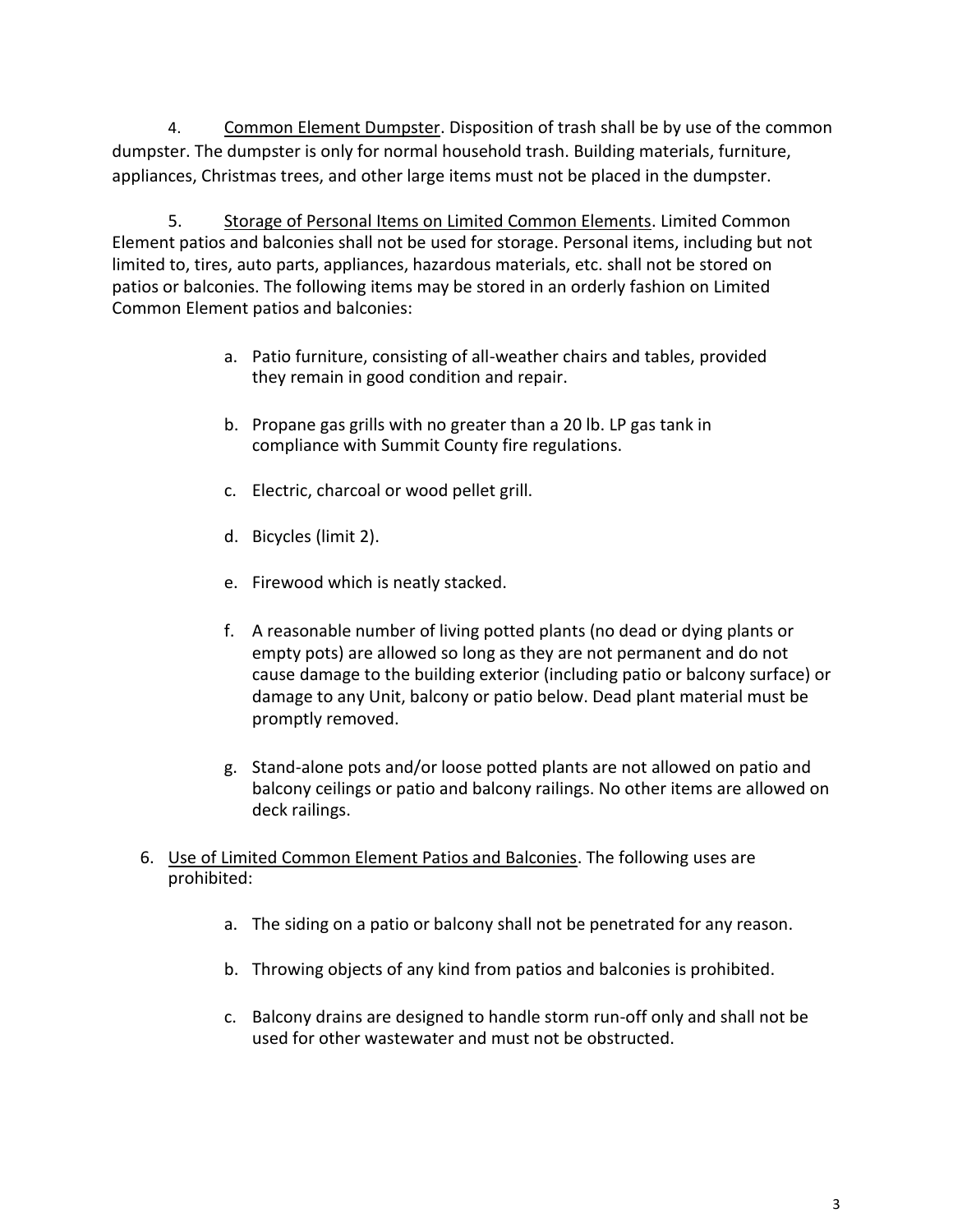4. Common Element Dumpster. Disposition of trash shall be by use of the common dumpster. The dumpster is only for normal household trash. Building materials, furniture, appliances, Christmas trees, and other large items must not be placed in the dumpster.

5. Storage of Personal Items on Limited Common Elements. Limited Common Element patios and balconies shall not be used for storage. Personal items, including but not limited to, tires, auto parts, appliances, hazardous materials, etc. shall not be stored on patios or balconies. The following items may be stored in an orderly fashion on Limited Common Element patios and balconies:

- a. Patio furniture, consisting of all-weather chairs and tables, provided they remain in good condition and repair.
- b. Propane gas grills with no greater than a 20 lb. LP gas tank in compliance with Summit County fire regulations.
- c. Electric, charcoal or wood pellet grill.
- d. Bicycles (limit 2).
- e. Firewood which is neatly stacked.
- f. A reasonable number of living potted plants (no dead or dying plants or empty pots) are allowed so long as they are not permanent and do not cause damage to the building exterior (including patio or balcony surface) or damage to any Unit, balcony or patio below. Dead plant material must be promptly removed.
- g. Stand-alone pots and/or loose potted plants are not allowed on patio and balcony ceilings or patio and balcony railings. No other items are allowed on deck railings.
- 6. Use of Limited Common Element Patios and Balconies. The following uses are prohibited:
	- a. The siding on a patio or balcony shall not be penetrated for any reason.
	- b. Throwing objects of any kind from patios and balconies is prohibited.
	- c. Balcony drains are designed to handle storm run-off only and shall not be used for other wastewater and must not be obstructed.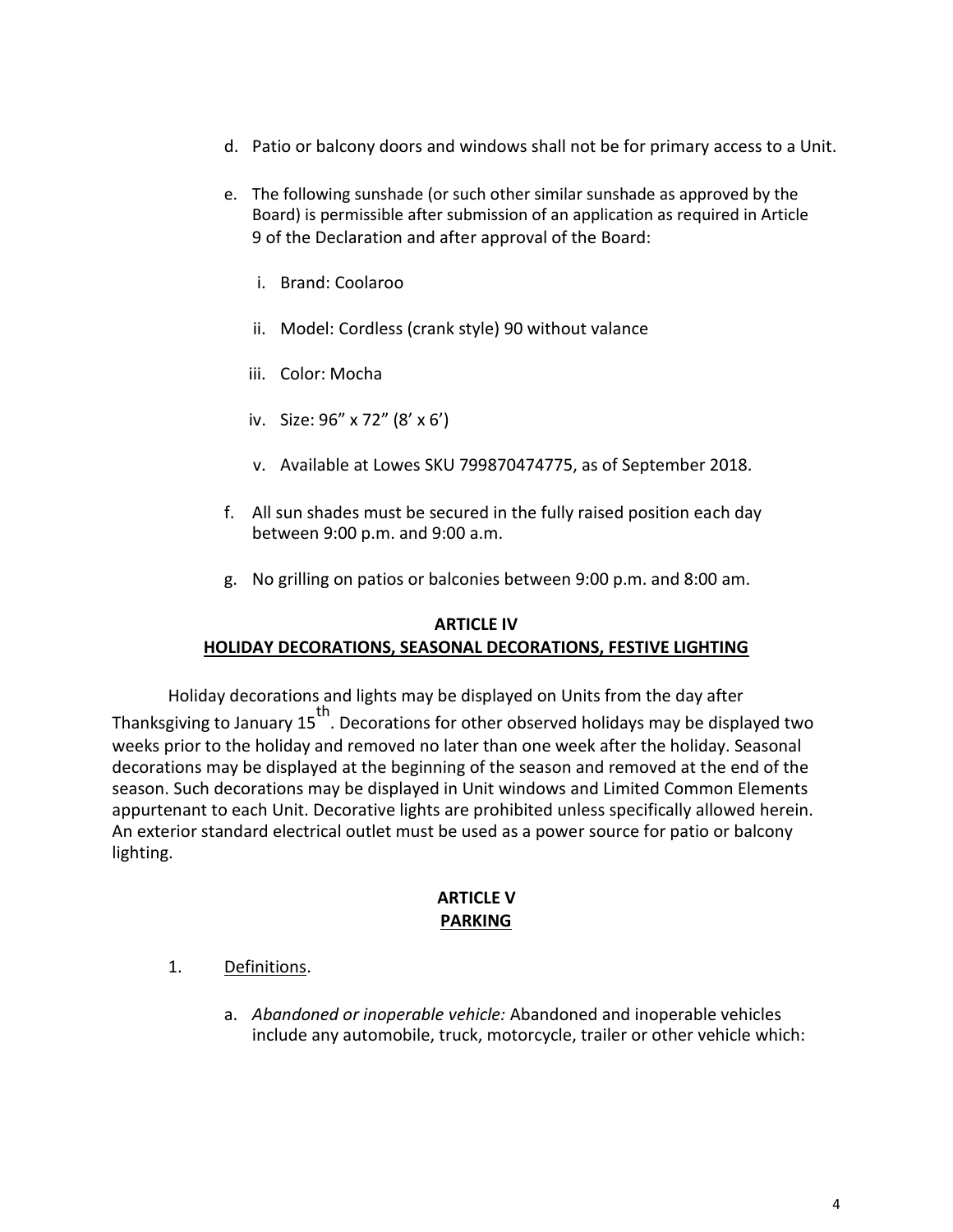- d. Patio or balcony doors and windows shall not be for primary access to a Unit.
- e. The following sunshade (or such other similar sunshade as approved by the Board) is permissible after submission of an application as required in Article 9 of the Declaration and after approval of the Board:
	- i. Brand: Coolaroo
	- ii. Model: Cordless (crank style) 90 without valance
	- iii. Color: Mocha
	- iv. Size: 96" x 72" (8' x 6')
	- v. Available at Lowes SKU 799870474775, as of September 2018.
- f. All sun shades must be secured in the fully raised position each day between 9:00 p.m. and 9:00 a.m.
- g. No grilling on patios or balconies between 9:00 p.m. and 8:00 am.

### **ARTICLE IV HOLIDAY DECORATIONS, SEASONAL DECORATIONS, FESTIVE LIGHTING**

Holiday decorations and lights may be displayed on Units from the day after Thanksgiving to January 15<sup>th</sup>. Decorations for other observed holidays may be displayed two weeks prior to the holiday and removed no later than one week after the holiday. Seasonal decorations may be displayed at the beginning of the season and removed at the end of the season. Such decorations may be displayed in Unit windows and Limited Common Elements appurtenant to each Unit. Decorative lights are prohibited unless specifically allowed herein. An exterior standard electrical outlet must be used as a power source for patio or balcony lighting.

### **ARTICLE V PARKING**

### 1. Definitions.

a. *Abandoned or inoperable vehicle:* Abandoned and inoperable vehicles include any automobile, truck, motorcycle, trailer or other vehicle which: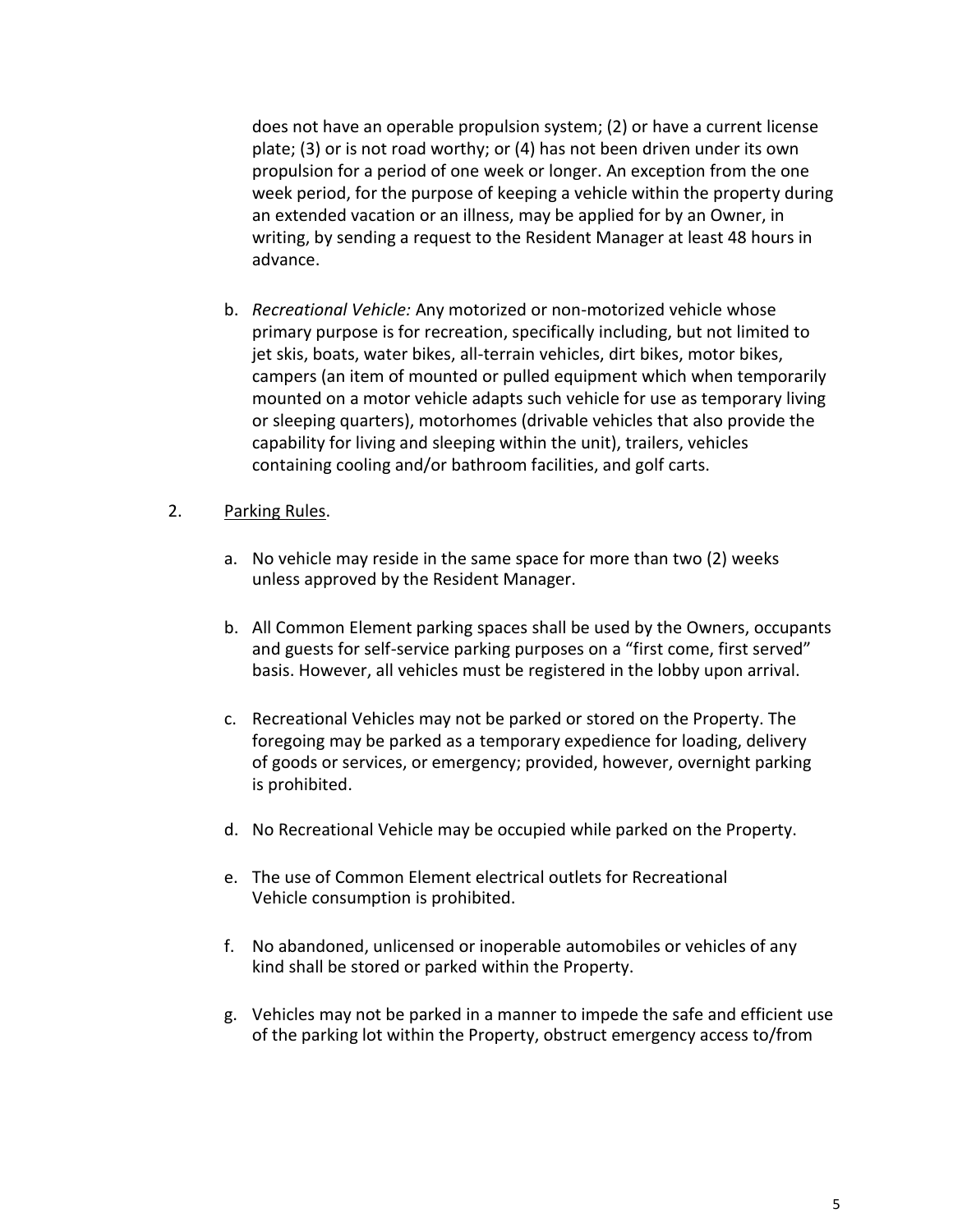does not have an operable propulsion system; (2) or have a current license plate; (3) or is not road worthy; or (4) has not been driven under its own propulsion for a period of one week or longer. An exception from the one week period, for the purpose of keeping a vehicle within the property during an extended vacation or an illness, may be applied for by an Owner, in writing, by sending a request to the Resident Manager at least 48 hours in advance.

b. *Recreational Vehicle:* Any motorized or non-motorized vehicle whose primary purpose is for recreation, specifically including, but not limited to jet skis, boats, water bikes, all-terrain vehicles, dirt bikes, motor bikes, campers (an item of mounted or pulled equipment which when temporarily mounted on a motor vehicle adapts such vehicle for use as temporary living or sleeping quarters), motorhomes (drivable vehicles that also provide the capability for living and sleeping within the unit), trailers, vehicles containing cooling and/or bathroom facilities, and golf carts.

### 2. Parking Rules.

- a. No vehicle may reside in the same space for more than two (2) weeks unless approved by the Resident Manager.
- b. All Common Element parking spaces shall be used by the Owners, occupants and guests for self-service parking purposes on a "first come, first served" basis. However, all vehicles must be registered in the lobby upon arrival.
- c. Recreational Vehicles may not be parked or stored on the Property. The foregoing may be parked as a temporary expedience for loading, delivery of goods or services, or emergency; provided, however, overnight parking is prohibited.
- d. No Recreational Vehicle may be occupied while parked on the Property.
- e. The use of Common Element electrical outlets for Recreational Vehicle consumption is prohibited.
- f. No abandoned, unlicensed or inoperable automobiles or vehicles of any kind shall be stored or parked within the Property.
- g. Vehicles may not be parked in a manner to impede the safe and efficient use of the parking lot within the Property, obstruct emergency access to/from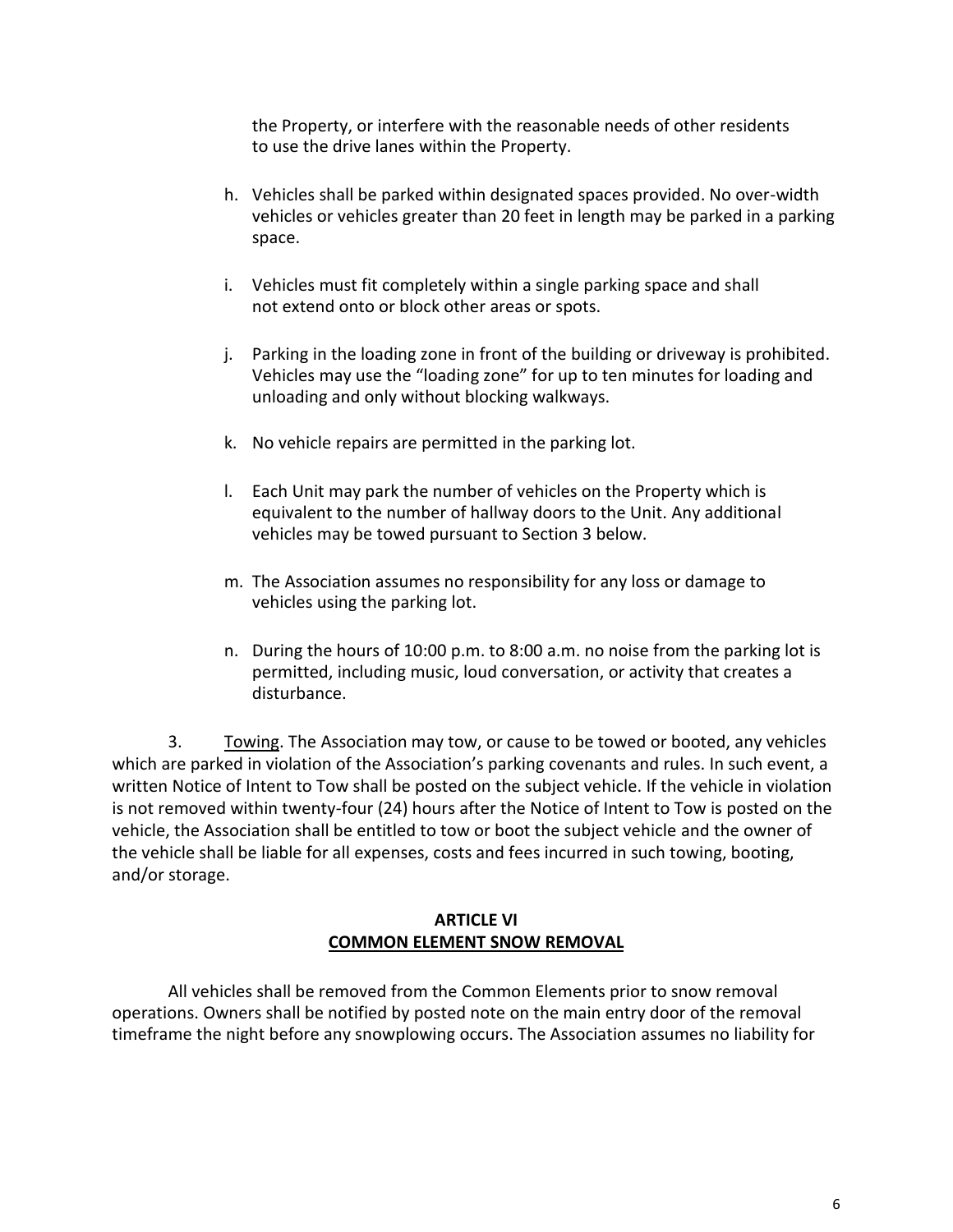the Property, or interfere with the reasonable needs of other residents to use the drive lanes within the Property.

- h. Vehicles shall be parked within designated spaces provided. No over-width vehicles or vehicles greater than 20 feet in length may be parked in a parking space.
- i. Vehicles must fit completely within a single parking space and shall not extend onto or block other areas or spots.
- j. Parking in the loading zone in front of the building or driveway is prohibited. Vehicles may use the "loading zone" for up to ten minutes for loading and unloading and only without blocking walkways.
- k. No vehicle repairs are permitted in the parking lot.
- l. Each Unit may park the number of vehicles on the Property which is equivalent to the number of hallway doors to the Unit. Any additional vehicles may be towed pursuant to Section 3 below.
- m. The Association assumes no responsibility for any loss or damage to vehicles using the parking lot.
- n. During the hours of 10:00 p.m. to 8:00 a.m. no noise from the parking lot is permitted, including music, loud conversation, or activity that creates a disturbance.

3. Towing. The Association may tow, or cause to be towed or booted, any vehicles which are parked in violation of the Association's parking covenants and rules. In such event, a written Notice of Intent to Tow shall be posted on the subject vehicle. If the vehicle in violation is not removed within twenty-four (24) hours after the Notice of Intent to Tow is posted on the vehicle, the Association shall be entitled to tow or boot the subject vehicle and the owner of the vehicle shall be liable for all expenses, costs and fees incurred in such towing, booting, and/or storage.

# **ARTICLE VI COMMON ELEMENT SNOW REMOVAL**

All vehicles shall be removed from the Common Elements prior to snow removal operations. Owners shall be notified by posted note on the main entry door of the removal timeframe the night before any snowplowing occurs. The Association assumes no liability for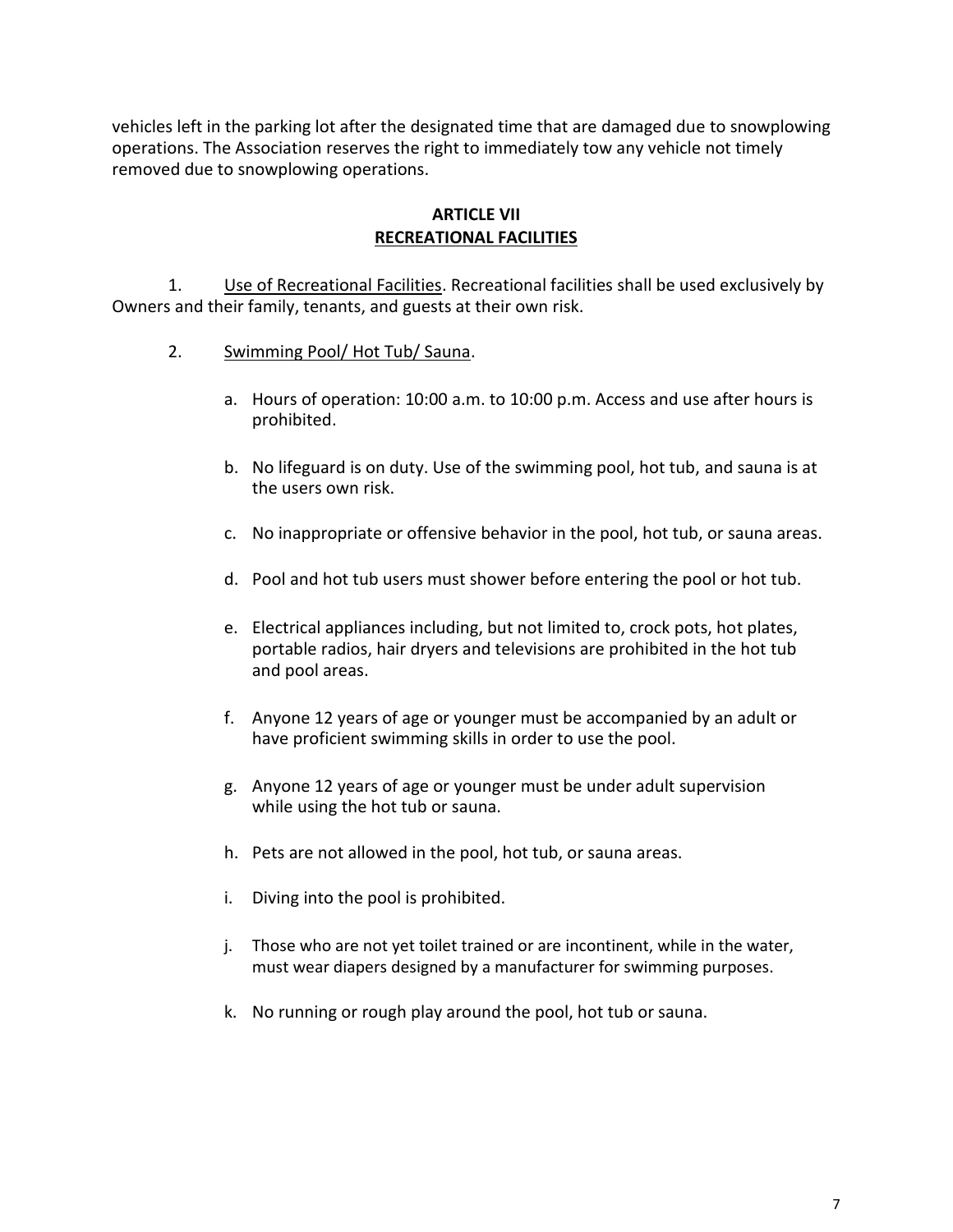vehicles left in the parking lot after the designated time that are damaged due to snowplowing operations. The Association reserves the right to immediately tow any vehicle not timely removed due to snowplowing operations.

# **ARTICLE VII RECREATIONAL FACILITIES**

1. Use of Recreational Facilities. Recreational facilities shall be used exclusively by Owners and their family, tenants, and guests at their own risk.

- 2. Swimming Pool/ Hot Tub/ Sauna.
	- a. Hours of operation: 10:00 a.m. to 10:00 p.m. Access and use after hours is prohibited.
	- b. No lifeguard is on duty. Use of the swimming pool, hot tub, and sauna is at the users own risk.
	- c. No inappropriate or offensive behavior in the pool, hot tub, or sauna areas.
	- d. Pool and hot tub users must shower before entering the pool or hot tub.
	- e. Electrical appliances including, but not limited to, crock pots, hot plates, portable radios, hair dryers and televisions are prohibited in the hot tub and pool areas.
	- f. Anyone 12 years of age or younger must be accompanied by an adult or have proficient swimming skills in order to use the pool.
	- g. Anyone 12 years of age or younger must be under adult supervision while using the hot tub or sauna.
	- h. Pets are not allowed in the pool, hot tub, or sauna areas.
	- i. Diving into the pool is prohibited.
	- j. Those who are not yet toilet trained or are incontinent, while in the water, must wear diapers designed by a manufacturer for swimming purposes.
	- k. No running or rough play around the pool, hot tub or sauna.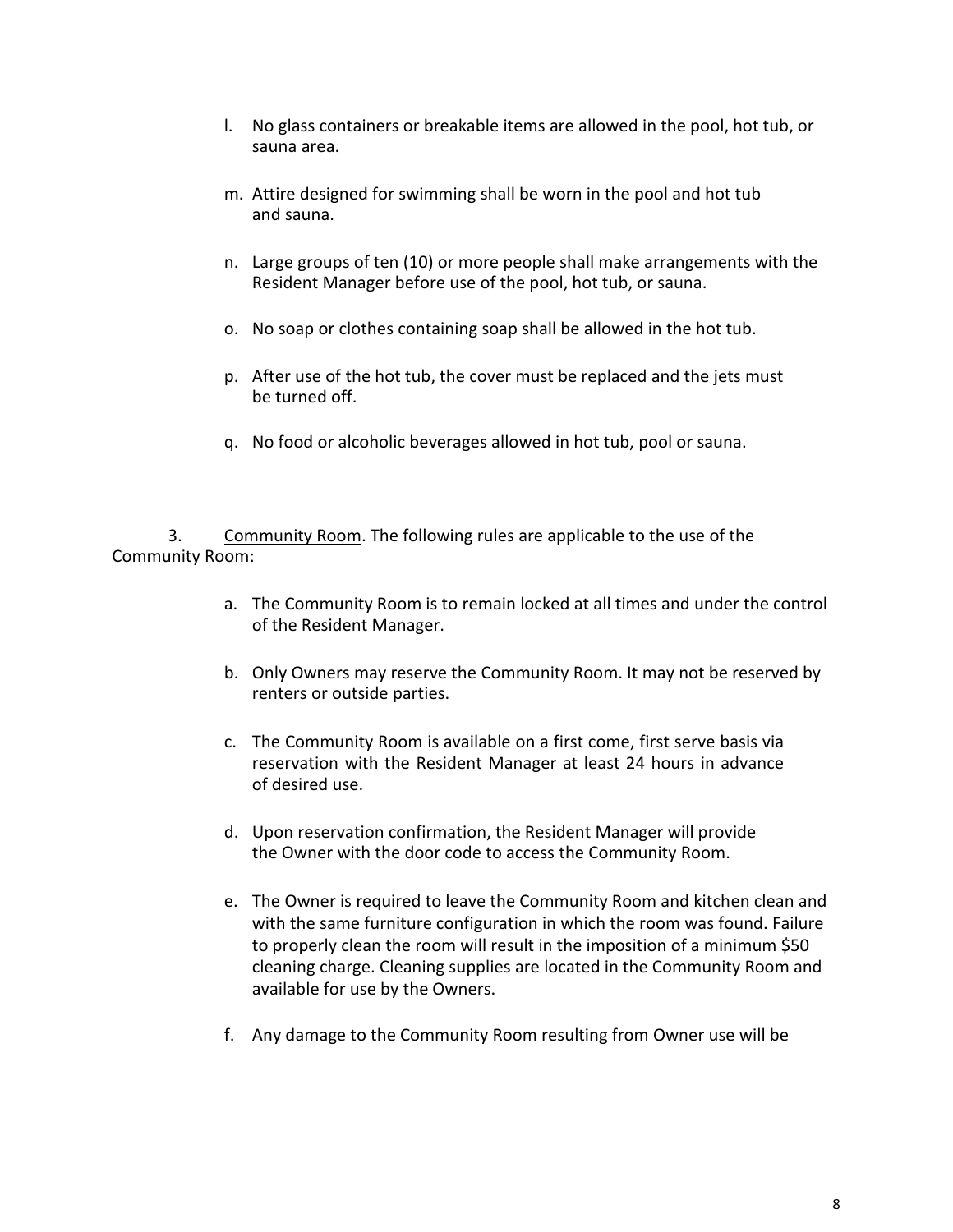- l. No glass containers or breakable items are allowed in the pool, hot tub, or sauna area.
- m. Attire designed for swimming shall be worn in the pool and hot tub and sauna.
- n. Large groups of ten (10) or more people shall make arrangements with the Resident Manager before use of the pool, hot tub, or sauna.
- o. No soap or clothes containing soap shall be allowed in the hot tub.
- p. After use of the hot tub, the cover must be replaced and the jets must be turned off.
- q. No food or alcoholic beverages allowed in hot tub, pool or sauna.

3. Community Room. The following rules are applicable to the use of the Community Room:

- a. The Community Room is to remain locked at all times and under the control of the Resident Manager.
- b. Only Owners may reserve the Community Room. It may not be reserved by renters or outside parties.
- c. The Community Room is available on a first come, first serve basis via reservation with the Resident Manager at least 24 hours in advance of desired use.
- d. Upon reservation confirmation, the Resident Manager will provide the Owner with the door code to access the Community Room.
- e. The Owner is required to leave the Community Room and kitchen clean and with the same furniture configuration in which the room was found. Failure to properly clean the room will result in the imposition of a minimum \$50 cleaning charge. Cleaning supplies are located in the Community Room and available for use by the Owners.
- f. Any damage to the Community Room resulting from Owner use will be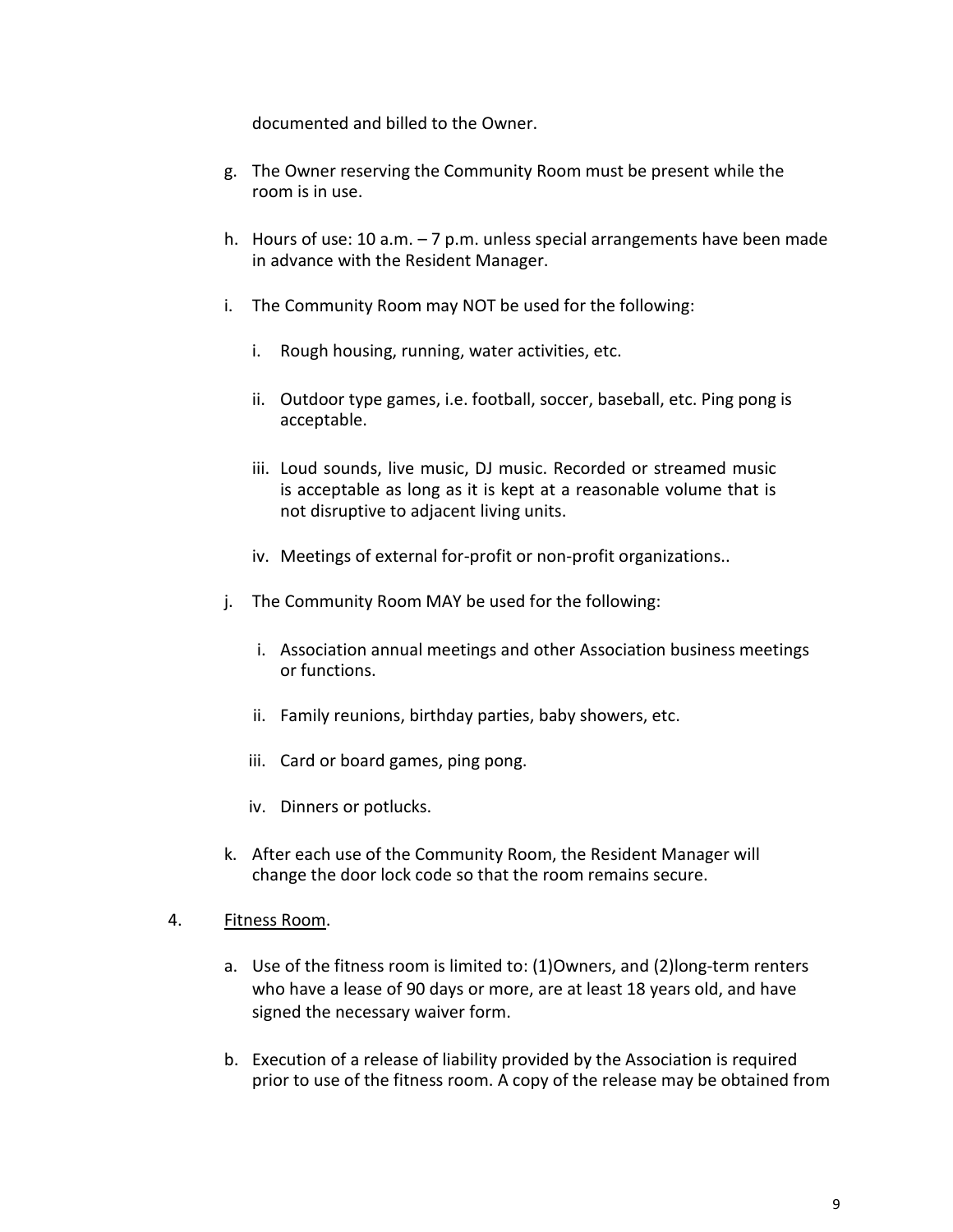documented and billed to the Owner.

- g. The Owner reserving the Community Room must be present while the room is in use.
- h. Hours of use: 10 a.m. 7 p.m. unless special arrangements have been made in advance with the Resident Manager.
- i. The Community Room may NOT be used for the following:
	- i. Rough housing, running, water activities, etc.
	- ii. Outdoor type games, i.e. football, soccer, baseball, etc. Ping pong is acceptable.
	- iii. Loud sounds, live music, DJ music. Recorded or streamed music is acceptable as long as it is kept at a reasonable volume that is not disruptive to adjacent living units.
	- iv. Meetings of external for-profit or non-profit organizations..
- j. The Community Room MAY be used for the following:
	- i. Association annual meetings and other Association business meetings or functions.
	- ii. Family reunions, birthday parties, baby showers, etc.
	- iii. Card or board games, ping pong.
	- iv. Dinners or potlucks.
- k. After each use of the Community Room, the Resident Manager will change the door lock code so that the room remains secure.

# 4. Fitness Room.

- a. Use of the fitness room is limited to: (1)Owners, and (2)long-term renters who have a lease of 90 days or more, are at least 18 years old, and have signed the necessary waiver form.
- b. Execution of a release of liability provided by the Association is required prior to use of the fitness room. A copy of the release may be obtained from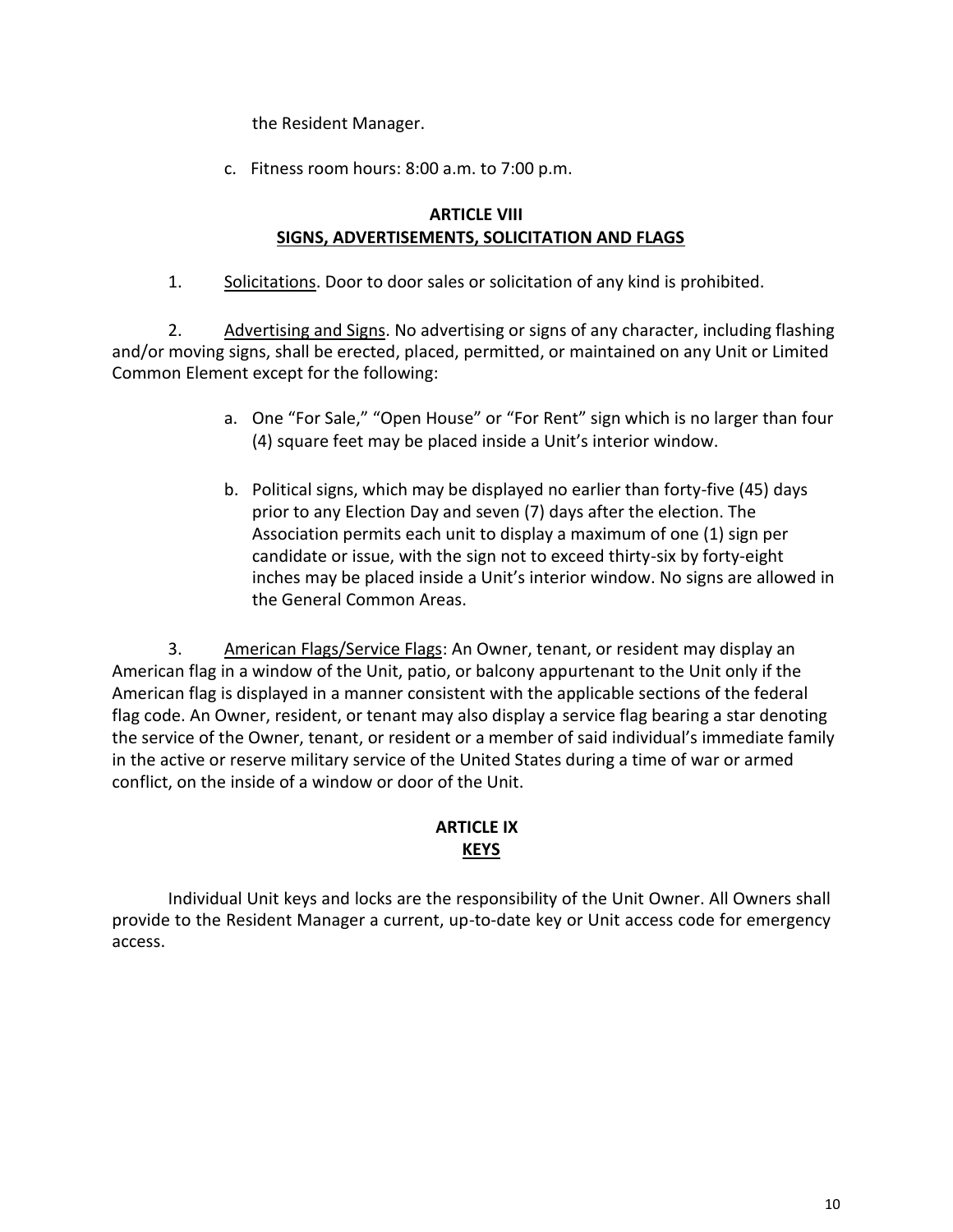the Resident Manager.

c. Fitness room hours: 8:00 a.m. to 7:00 p.m.

# **ARTICLE VIII SIGNS, ADVERTISEMENTS, SOLICITATION AND FLAGS**

1. Solicitations. Door to door sales or solicitation of any kind is prohibited.

2. Advertising and Signs. No advertising or signs of any character, including flashing and/or moving signs, shall be erected, placed, permitted, or maintained on any Unit or Limited Common Element except for the following:

- a. One "For Sale," "Open House" or "For Rent" sign which is no larger than four (4) square feet may be placed inside a Unit's interior window.
- b. Political signs, which may be displayed no earlier than forty-five (45) days prior to any Election Day and seven (7) days after the election. The Association permits each unit to display a maximum of one (1) sign per candidate or issue, with the sign not to exceed thirty-six by forty-eight inches may be placed inside a Unit's interior window. No signs are allowed in the General Common Areas.

3. American Flags/Service Flags: An Owner, tenant, or resident may display an American flag in a window of the Unit, patio, or balcony appurtenant to the Unit only if the American flag is displayed in a manner consistent with the applicable sections of the federal flag code. An Owner, resident, or tenant may also display a service flag bearing a star denoting the service of the Owner, tenant, or resident or a member of said individual's immediate family in the active or reserve military service of the United States during a time of war or armed conflict, on the inside of a window or door of the Unit.

# **ARTICLE IX KEYS**

Individual Unit keys and locks are the responsibility of the Unit Owner. All Owners shall provide to the Resident Manager a current, up-to-date key or Unit access code for emergency access.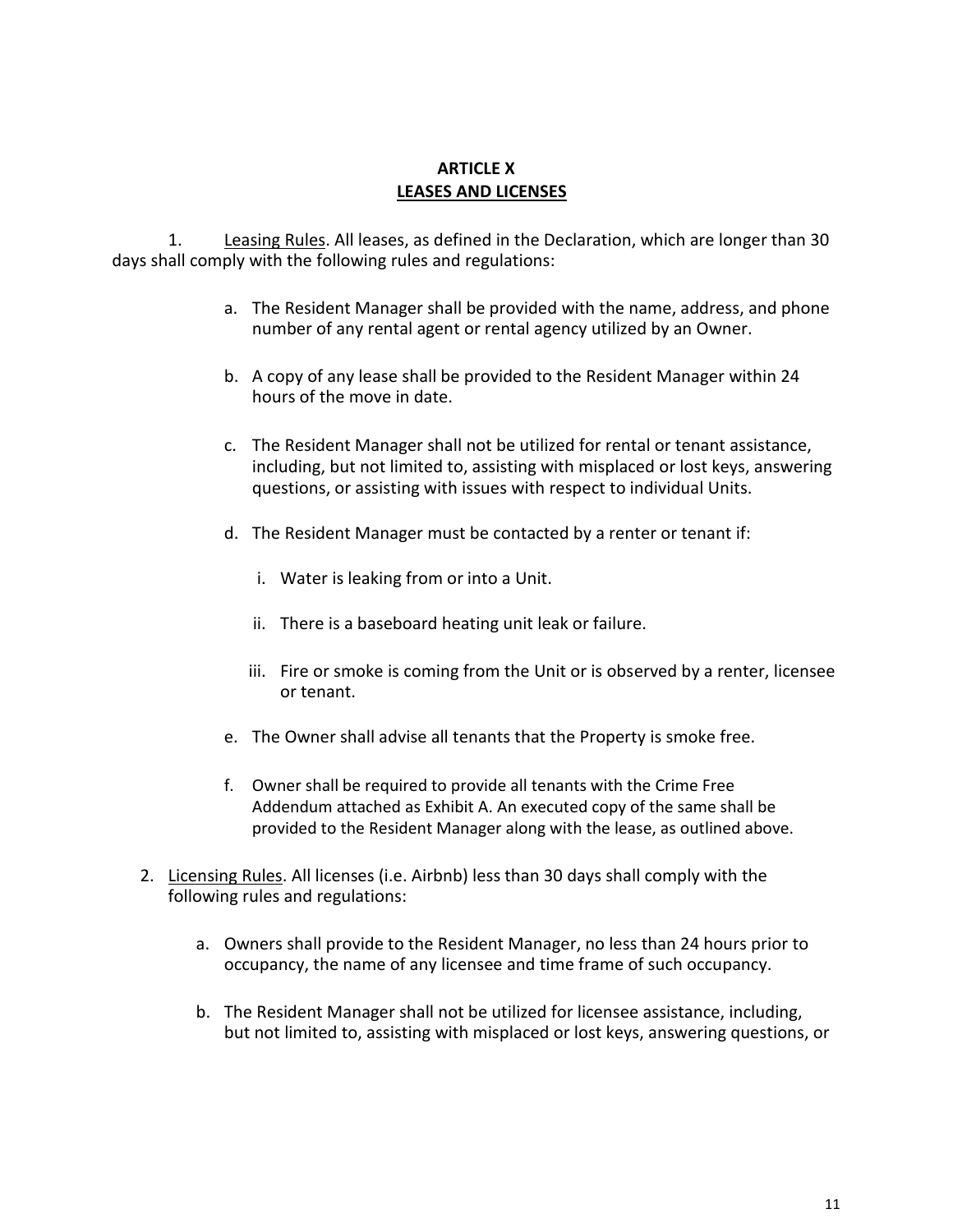# **ARTICLE X LEASES AND LICENSES**

1. Leasing Rules. All leases, as defined in the Declaration, which are longer than 30 days shall comply with the following rules and regulations:

- a. The Resident Manager shall be provided with the name, address, and phone number of any rental agent or rental agency utilized by an Owner.
- b. A copy of any lease shall be provided to the Resident Manager within 24 hours of the move in date.
- c. The Resident Manager shall not be utilized for rental or tenant assistance, including, but not limited to, assisting with misplaced or lost keys, answering questions, or assisting with issues with respect to individual Units.
- d. The Resident Manager must be contacted by a renter or tenant if:
	- i. Water is leaking from or into a Unit.
	- ii. There is a baseboard heating unit leak or failure.
	- iii. Fire or smoke is coming from the Unit or is observed by a renter, licensee or tenant.
- e. The Owner shall advise all tenants that the Property is smoke free.
- f. Owner shall be required to provide all tenants with the Crime Free Addendum attached as Exhibit A. An executed copy of the same shall be provided to the Resident Manager along with the lease, as outlined above.
- 2. Licensing Rules. All licenses (i.e. Airbnb) less than 30 days shall comply with the following rules and regulations:
	- a. Owners shall provide to the Resident Manager, no less than 24 hours prior to occupancy, the name of any licensee and time frame of such occupancy.
	- b. The Resident Manager shall not be utilized for licensee assistance, including, but not limited to, assisting with misplaced or lost keys, answering questions, or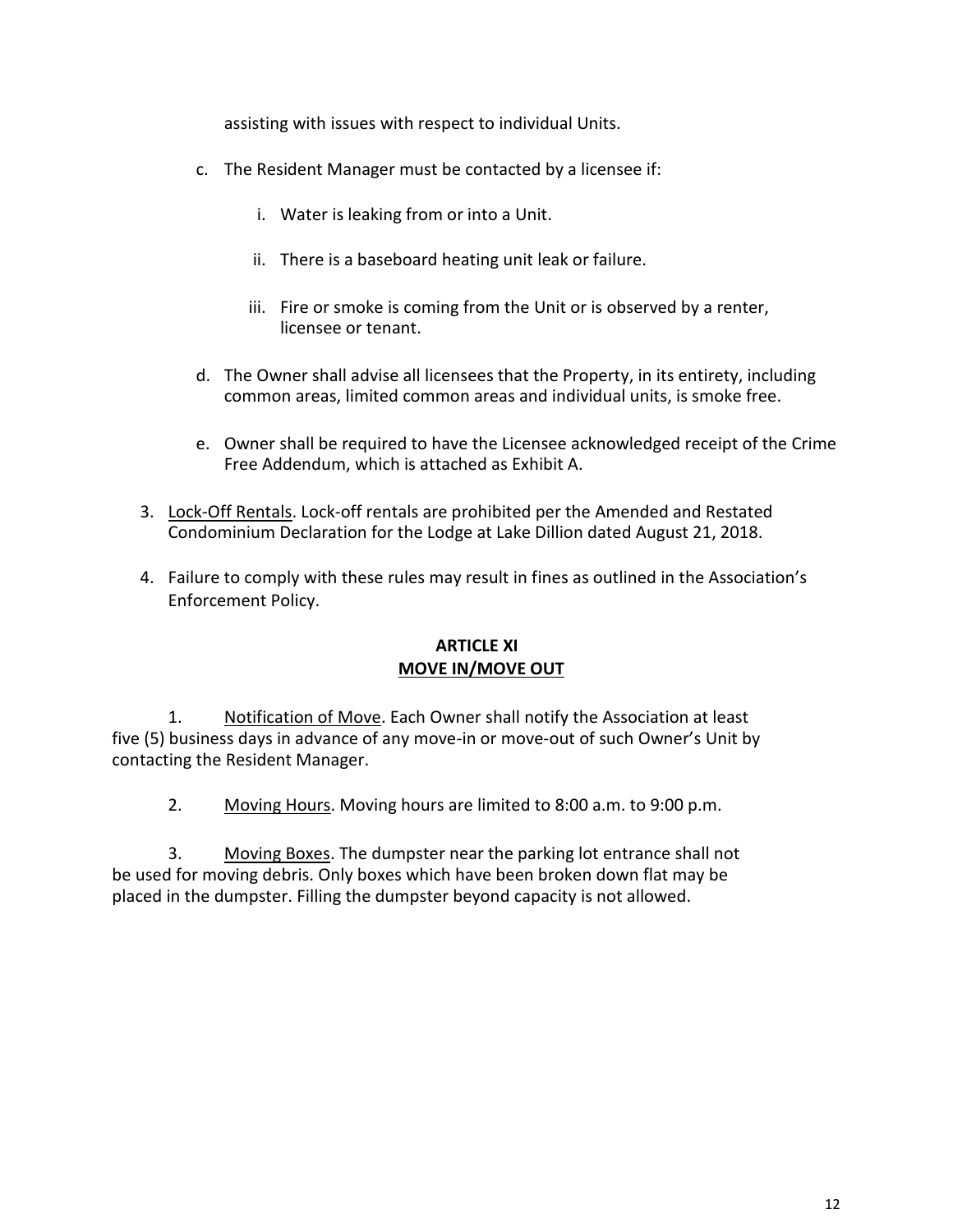assisting with issues with respect to individual Units.

- c. The Resident Manager must be contacted by a licensee if:
	- i. Water is leaking from or into a Unit.
	- ii. There is a baseboard heating unit leak or failure.
	- iii. Fire or smoke is coming from the Unit or is observed by a renter, licensee or tenant.
- d. The Owner shall advise all licensees that the Property, in its entirety, including common areas, limited common areas and individual units, is smoke free.
- e. Owner shall be required to have the Licensee acknowledged receipt of the Crime Free Addendum, which is attached as Exhibit A.
- 3. Lock-Off Rentals. Lock-off rentals are prohibited per the Amended and Restated Condominium Declaration for the Lodge at Lake Dillion dated August 21, 2018.
- 4. Failure to comply with these rules may result in fines as outlined in the Association's Enforcement Policy.

### **ARTICLE XI MOVE IN/MOVE OUT**

1. Notification of Move. Each Owner shall notify the Association at least five (5) business days in advance of any move-in or move-out of such Owner's Unit by contacting the Resident Manager.

2. Moving Hours. Moving hours are limited to 8:00 a.m. to 9:00 p.m.

3. Moving Boxes. The dumpster near the parking lot entrance shall not be used for moving debris. Only boxes which have been broken down flat may be placed in the dumpster. Filling the dumpster beyond capacity is not allowed.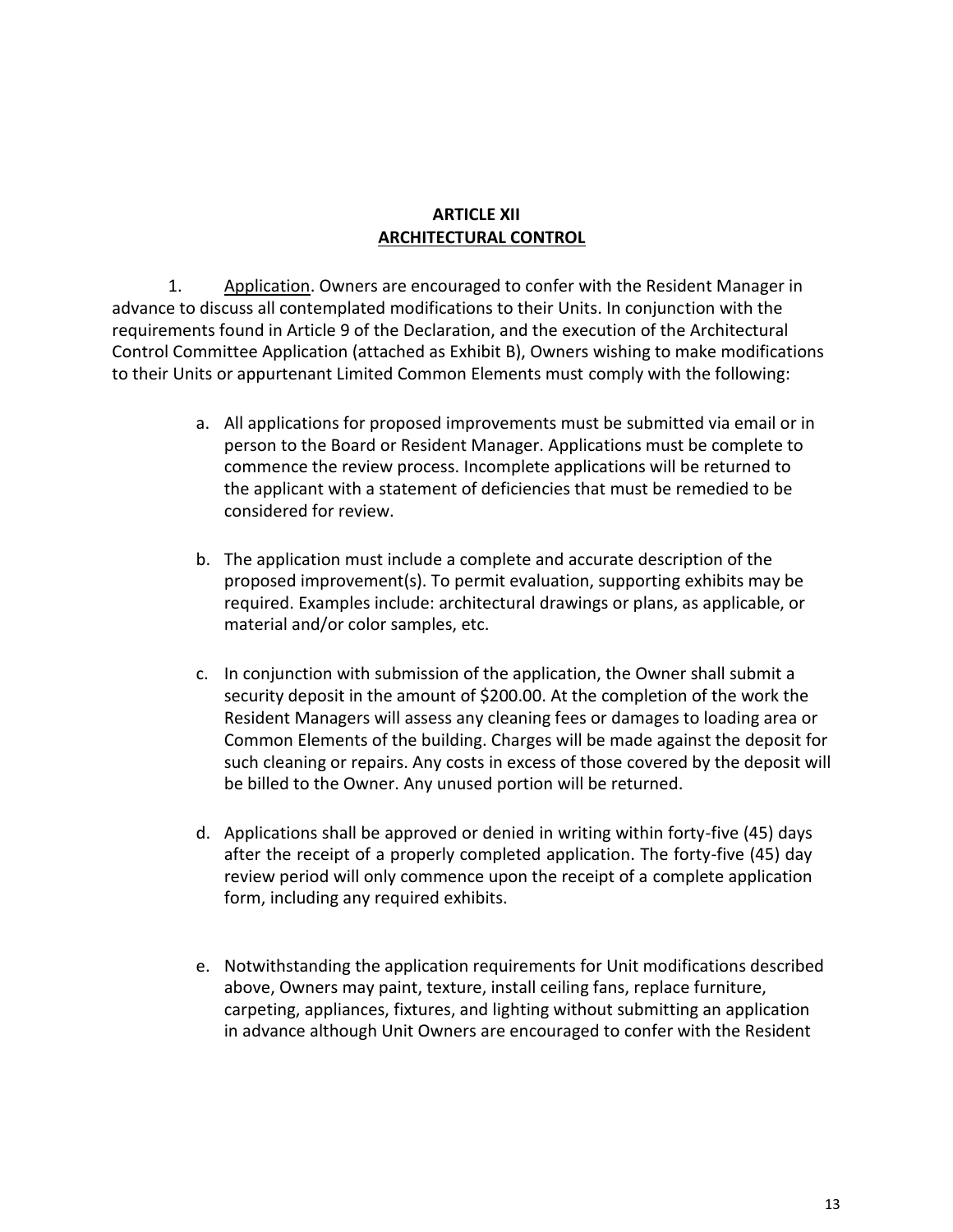# **ARTICLE XII ARCHITECTURAL CONTROL**

1. Application. Owners are encouraged to confer with the Resident Manager in advance to discuss all contemplated modifications to their Units. In conjunction with the requirements found in Article 9 of the Declaration, and the execution of the Architectural Control Committee Application (attached as Exhibit B), Owners wishing to make modifications to their Units or appurtenant Limited Common Elements must comply with the following:

- a. All applications for proposed improvements must be submitted via email or in person to the Board or Resident Manager. Applications must be complete to commence the review process. Incomplete applications will be returned to the applicant with a statement of deficiencies that must be remedied to be considered for review.
- b. The application must include a complete and accurate description of the proposed improvement(s). To permit evaluation, supporting exhibits may be required. Examples include: architectural drawings or plans, as applicable, or material and/or color samples, etc.
- c. In conjunction with submission of the application, the Owner shall submit a security deposit in the amount of \$200.00. At the completion of the work the Resident Managers will assess any cleaning fees or damages to loading area or Common Elements of the building. Charges will be made against the deposit for such cleaning or repairs. Any costs in excess of those covered by the deposit will be billed to the Owner. Any unused portion will be returned.
- d. Applications shall be approved or denied in writing within forty-five (45) days after the receipt of a properly completed application. The forty-five (45) day review period will only commence upon the receipt of a complete application form, including any required exhibits.
- e. Notwithstanding the application requirements for Unit modifications described above, Owners may paint, texture, install ceiling fans, replace furniture, carpeting, appliances, fixtures, and lighting without submitting an application in advance although Unit Owners are encouraged to confer with the Resident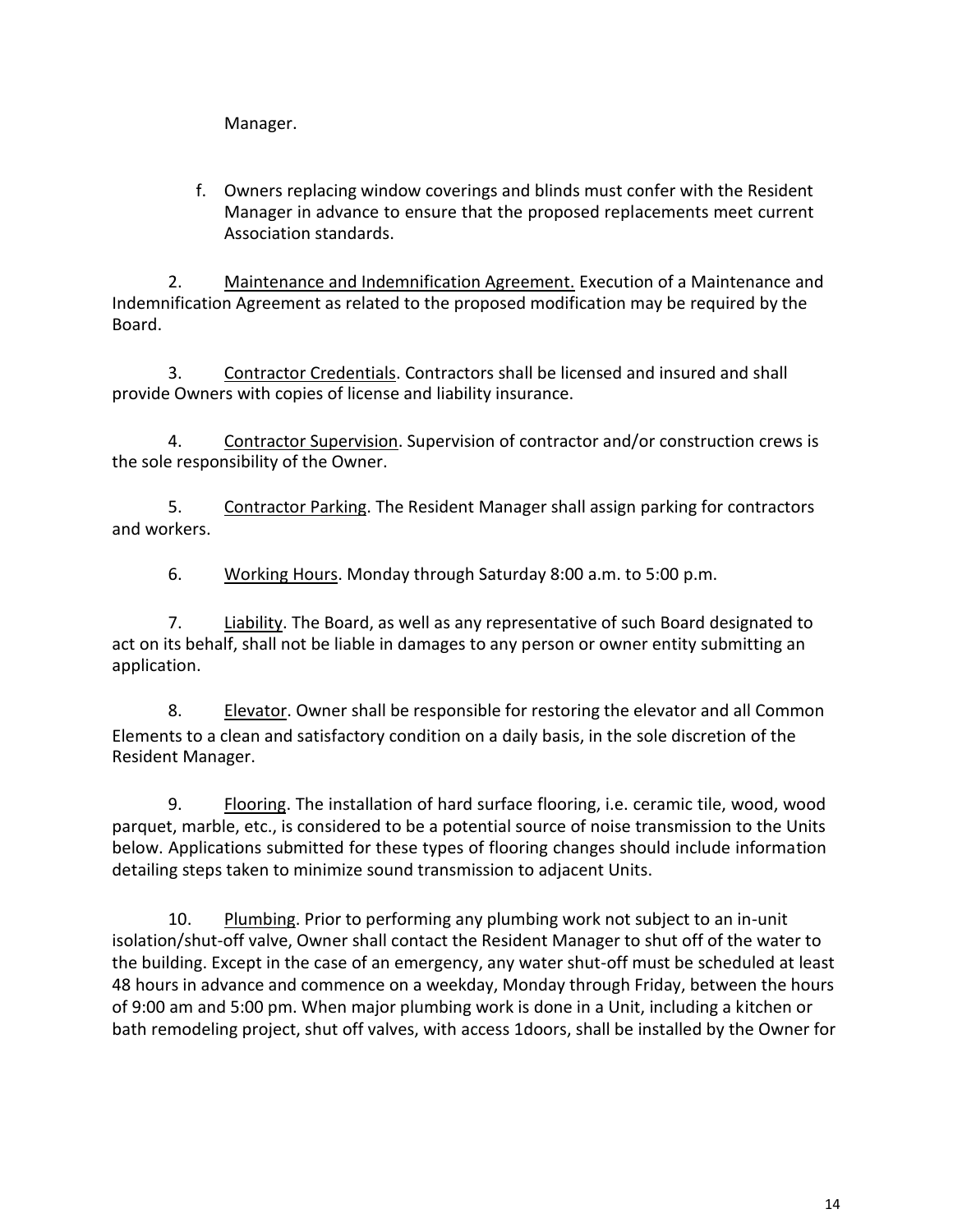Manager.

f. Owners replacing window coverings and blinds must confer with the Resident Manager in advance to ensure that the proposed replacements meet current Association standards.

2. Maintenance and Indemnification Agreement. Execution of a Maintenance and Indemnification Agreement as related to the proposed modification may be required by the Board.

3. Contractor Credentials. Contractors shall be licensed and insured and shall provide Owners with copies of license and liability insurance.

4. Contractor Supervision. Supervision of contractor and/or construction crews is the sole responsibility of the Owner.

5. Contractor Parking. The Resident Manager shall assign parking for contractors and workers.

6. Working Hours. Monday through Saturday 8:00 a.m. to 5:00 p.m.

7. Liability. The Board, as well as any representative of such Board designated to act on its behalf, shall not be liable in damages to any person or owner entity submitting an application.

8. Elevator. Owner shall be responsible for restoring the elevator and all Common Elements to a clean and satisfactory condition on a daily basis, in the sole discretion of the Resident Manager.

9. Flooring. The installation of hard surface flooring, i.e. ceramic tile, wood, wood parquet, marble, etc., is considered to be a potential source of noise transmission to the Units below. Applications submitted for these types of flooring changes should include information detailing steps taken to minimize sound transmission to adjacent Units.

10. Plumbing. Prior to performing any plumbing work not subject to an in-unit isolation/shut-off valve, Owner shall contact the Resident Manager to shut off of the water to the building. Except in the case of an emergency, any water shut-off must be scheduled at least 48 hours in advance and commence on a weekday, Monday through Friday, between the hours of 9:00 am and 5:00 pm. When major plumbing work is done in a Unit, including a kitchen or bath remodeling project, shut off valves, with access 1doors, shall be installed by the Owner for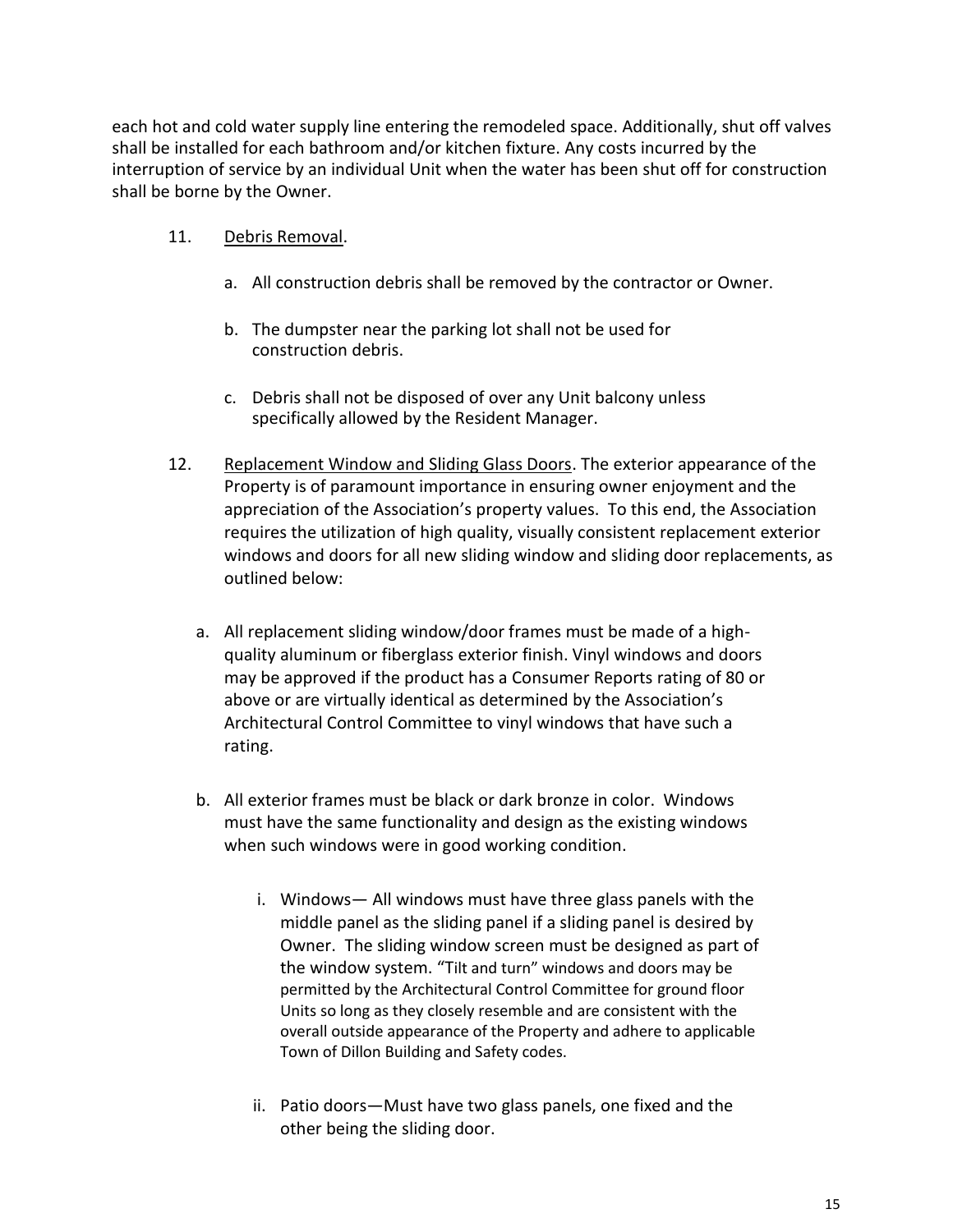each hot and cold water supply line entering the remodeled space. Additionally, shut off valves shall be installed for each bathroom and/or kitchen fixture. Any costs incurred by the interruption of service by an individual Unit when the water has been shut off for construction shall be borne by the Owner.

- 11. Debris Removal.
	- a. All construction debris shall be removed by the contractor or Owner.
	- b. The dumpster near the parking lot shall not be used for construction debris.
	- c. Debris shall not be disposed of over any Unit balcony unless specifically allowed by the Resident Manager.
- 12. Replacement Window and Sliding Glass Doors. The exterior appearance of the Property is of paramount importance in ensuring owner enjoyment and the appreciation of the Association's property values. To this end, the Association requires the utilization of high quality, visually consistent replacement exterior windows and doors for all new sliding window and sliding door replacements, as outlined below:
	- a. All replacement sliding window/door frames must be made of a highquality aluminum or fiberglass exterior finish. Vinyl windows and doors may be approved if the product has a Consumer Reports rating of 80 or above or are virtually identical as determined by the Association's Architectural Control Committee to vinyl windows that have such a rating.
	- b. All exterior frames must be black or dark bronze in color. Windows must have the same functionality and design as the existing windows when such windows were in good working condition.
		- i. Windows— All windows must have three glass panels with the middle panel as the sliding panel if a sliding panel is desired by Owner. The sliding window screen must be designed as part of the window system. "Tilt and turn" windows and doors may be permitted by the Architectural Control Committee for ground floor Units so long as they closely resemble and are consistent with the overall outside appearance of the Property and adhere to applicable Town of Dillon Building and Safety codes.
		- ii. Patio doors—Must have two glass panels, one fixed and the other being the sliding door.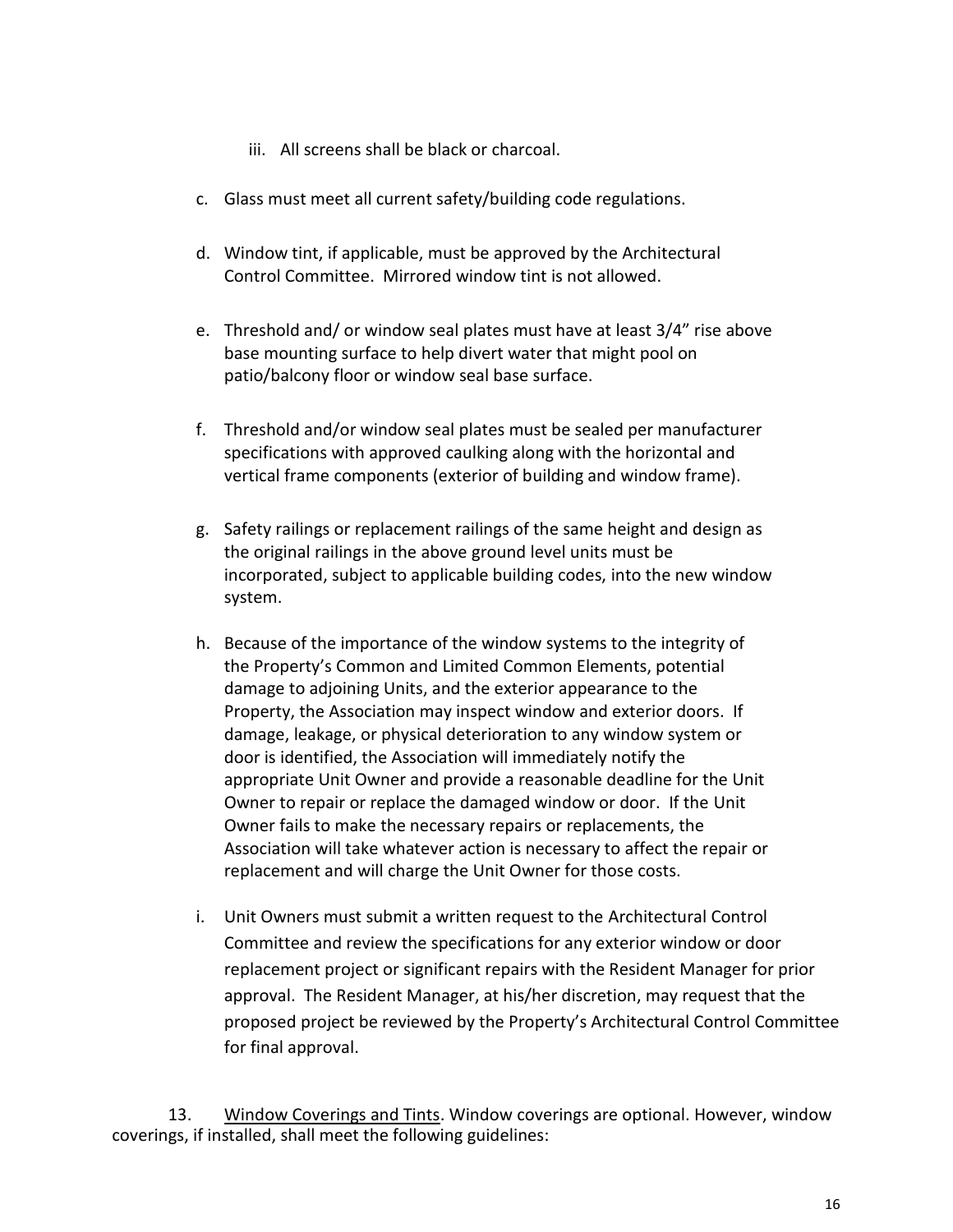- iii. All screens shall be black or charcoal.
- c. Glass must meet all current safety/building code regulations.
- d. Window tint, if applicable, must be approved by the Architectural Control Committee. Mirrored window tint is not allowed.
- e. Threshold and/ or window seal plates must have at least 3/4" rise above base mounting surface to help divert water that might pool on patio/balcony floor or window seal base surface.
- f. Threshold and/or window seal plates must be sealed per manufacturer specifications with approved caulking along with the horizontal and vertical frame components (exterior of building and window frame).
- g. Safety railings or replacement railings of the same height and design as the original railings in the above ground level units must be incorporated, subject to applicable building codes, into the new window system.
- h. Because of the importance of the window systems to the integrity of the Property's Common and Limited Common Elements, potential damage to adjoining Units, and the exterior appearance to the Property, the Association may inspect window and exterior doors. If damage, leakage, or physical deterioration to any window system or door is identified, the Association will immediately notify the appropriate Unit Owner and provide a reasonable deadline for the Unit Owner to repair or replace the damaged window or door. If the Unit Owner fails to make the necessary repairs or replacements, the Association will take whatever action is necessary to affect the repair or replacement and will charge the Unit Owner for those costs.
- i. Unit Owners must submit a written request to the Architectural Control Committee and review the specifications for any exterior window or door replacement project or significant repairs with the Resident Manager for prior approval. The Resident Manager, at his/her discretion, may request that the proposed project be reviewed by the Property's Architectural Control Committee for final approval.

13. Window Coverings and Tints. Window coverings are optional. However, window coverings, if installed, shall meet the following guidelines: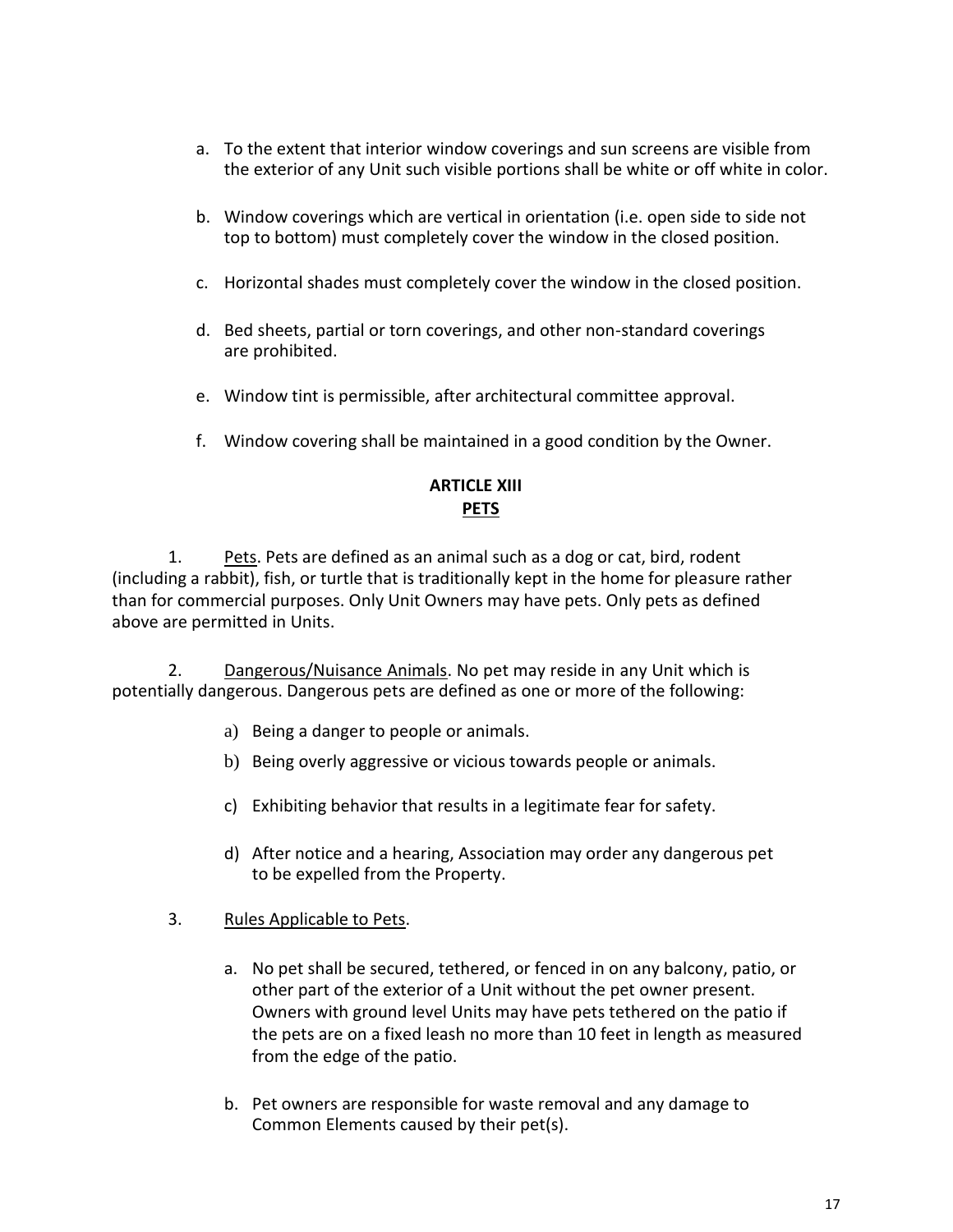- a. To the extent that interior window coverings and sun screens are visible from the exterior of any Unit such visible portions shall be white or off white in color.
- b. Window coverings which are vertical in orientation (i.e. open side to side not top to bottom) must completely cover the window in the closed position.
- c. Horizontal shades must completely cover the window in the closed position.
- d. Bed sheets, partial or torn coverings, and other non-standard coverings are prohibited.
- e. Window tint is permissible, after architectural committee approval.
- f. Window covering shall be maintained in a good condition by the Owner.

# **ARTICLE XIII PETS**

1. Pets. Pets are defined as an animal such as a dog or cat, bird, rodent (including a rabbit), fish, or turtle that is traditionally kept in the home for pleasure rather than for commercial purposes. Only Unit Owners may have pets. Only pets as defined above are permitted in Units.

2. Dangerous/Nuisance Animals. No pet may reside in any Unit which is potentially dangerous. Dangerous pets are defined as one or more of the following:

- a) Being a danger to people or animals.
- b) Being overly aggressive or vicious towards people or animals.
- c) Exhibiting behavior that results in a legitimate fear for safety.
- d) After notice and a hearing, Association may order any dangerous pet to be expelled from the Property.

# 3. Rules Applicable to Pets.

- a. No pet shall be secured, tethered, or fenced in on any balcony, patio, or other part of the exterior of a Unit without the pet owner present. Owners with ground level Units may have pets tethered on the patio if the pets are on a fixed leash no more than 10 feet in length as measured from the edge of the patio.
- b. Pet owners are responsible for waste removal and any damage to Common Elements caused by their pet(s).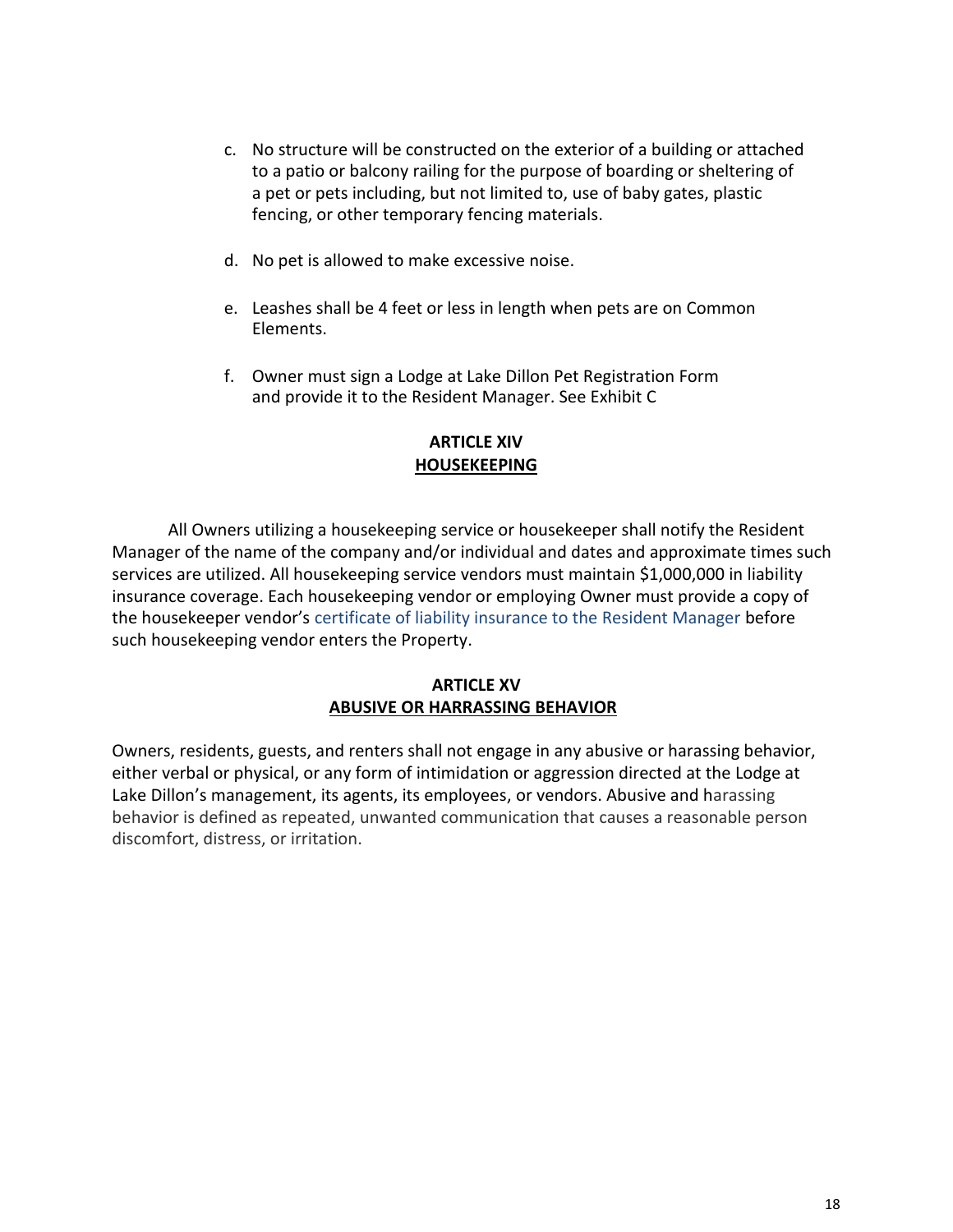- c. No structure will be constructed on the exterior of a building or attached to a patio or balcony railing for the purpose of boarding or sheltering of a pet or pets including, but not limited to, use of baby gates, plastic fencing, or other temporary fencing materials.
- d. No pet is allowed to make excessive noise.
- e. Leashes shall be 4 feet or less in length when pets are on Common Elements.
- f. Owner must sign a Lodge at Lake Dillon Pet Registration Form and provide it to the Resident Manager. See Exhibit C

# **ARTICLE XIV HOUSEKEEPING**

All Owners utilizing a housekeeping service or housekeeper shall notify the Resident Manager of the name of the company and/or individual and dates and approximate times such services are utilized. All housekeeping service vendors must maintain \$1,000,000 in liability insurance coverage. Each housekeeping vendor or employing Owner must provide a copy of the housekeeper vendor's certificate of liability insurance to the Resident Manager before such housekeeping vendor enters the Property.

### **ARTICLE XV ABUSIVE OR HARRASSING BEHAVIOR**

Owners, residents, guests, and renters shall not engage in any abusive or harassing behavior, either verbal or physical, or any form of intimidation or aggression directed at the Lodge at Lake Dillon's management, its agents, its employees, or vendors. Abusive and harassing behavior is defined as repeated, unwanted communication that causes a reasonable person discomfort, distress, or irritation.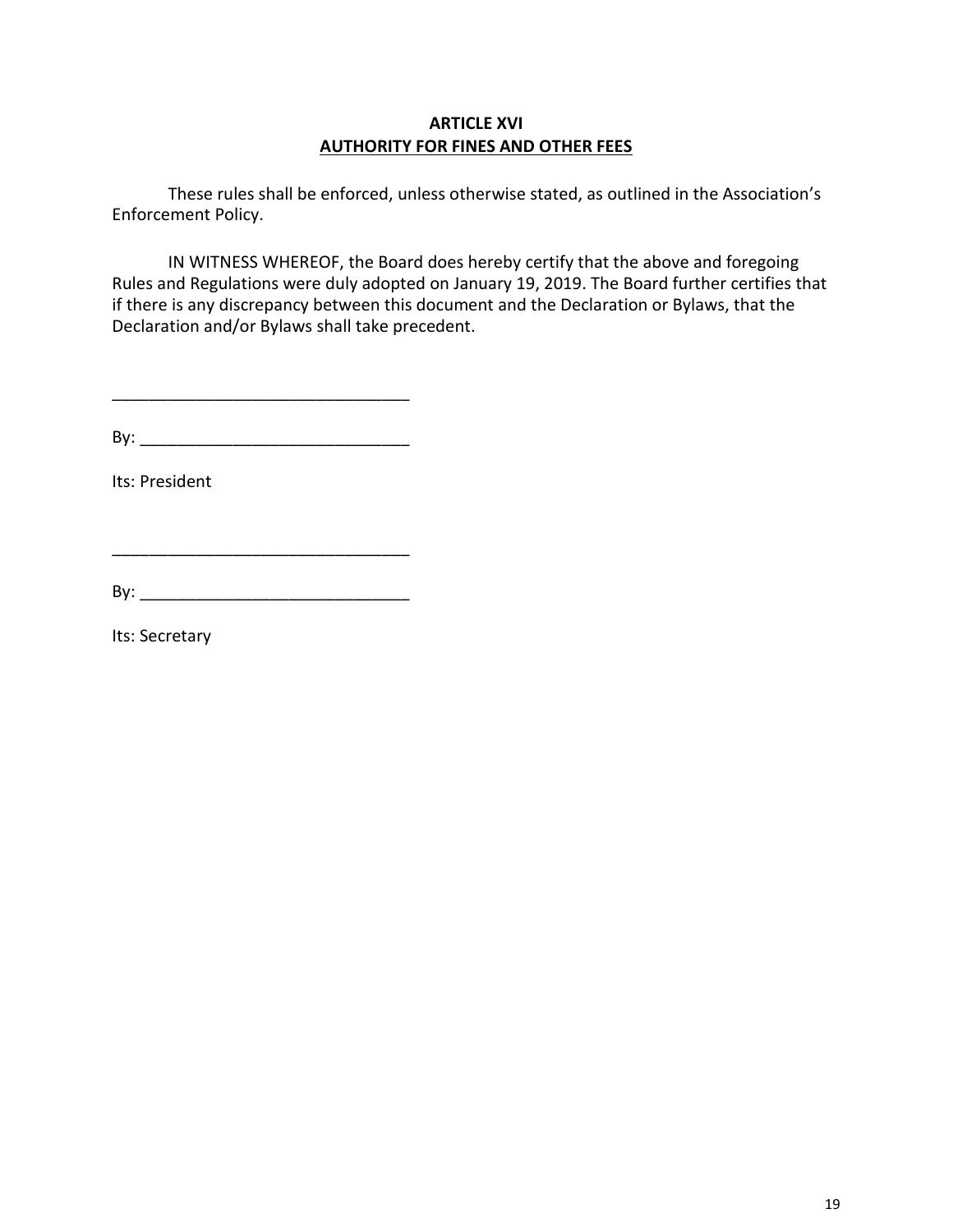# **ARTICLE XVI AUTHORITY FOR FINES AND OTHER FEES**

These rules shall be enforced, unless otherwise stated, as outlined in the Association's Enforcement Policy.

IN WITNESS WHEREOF, the Board does hereby certify that the above and foregoing Rules and Regulations were duly adopted on January 19, 2019. The Board further certifies that if there is any discrepancy between this document and the Declaration or Bylaws, that the Declaration and/or Bylaws shall take precedent.

\_\_\_\_\_\_\_\_\_\_\_\_\_\_\_\_\_\_\_\_\_\_\_\_\_\_\_\_\_\_\_\_

 $\mathsf{By:}\qquad\qquad$ 

Its: President

By: \_\_\_\_\_\_\_\_\_\_\_\_\_\_\_\_\_\_\_\_\_\_\_\_\_\_\_\_\_

Its: Secretary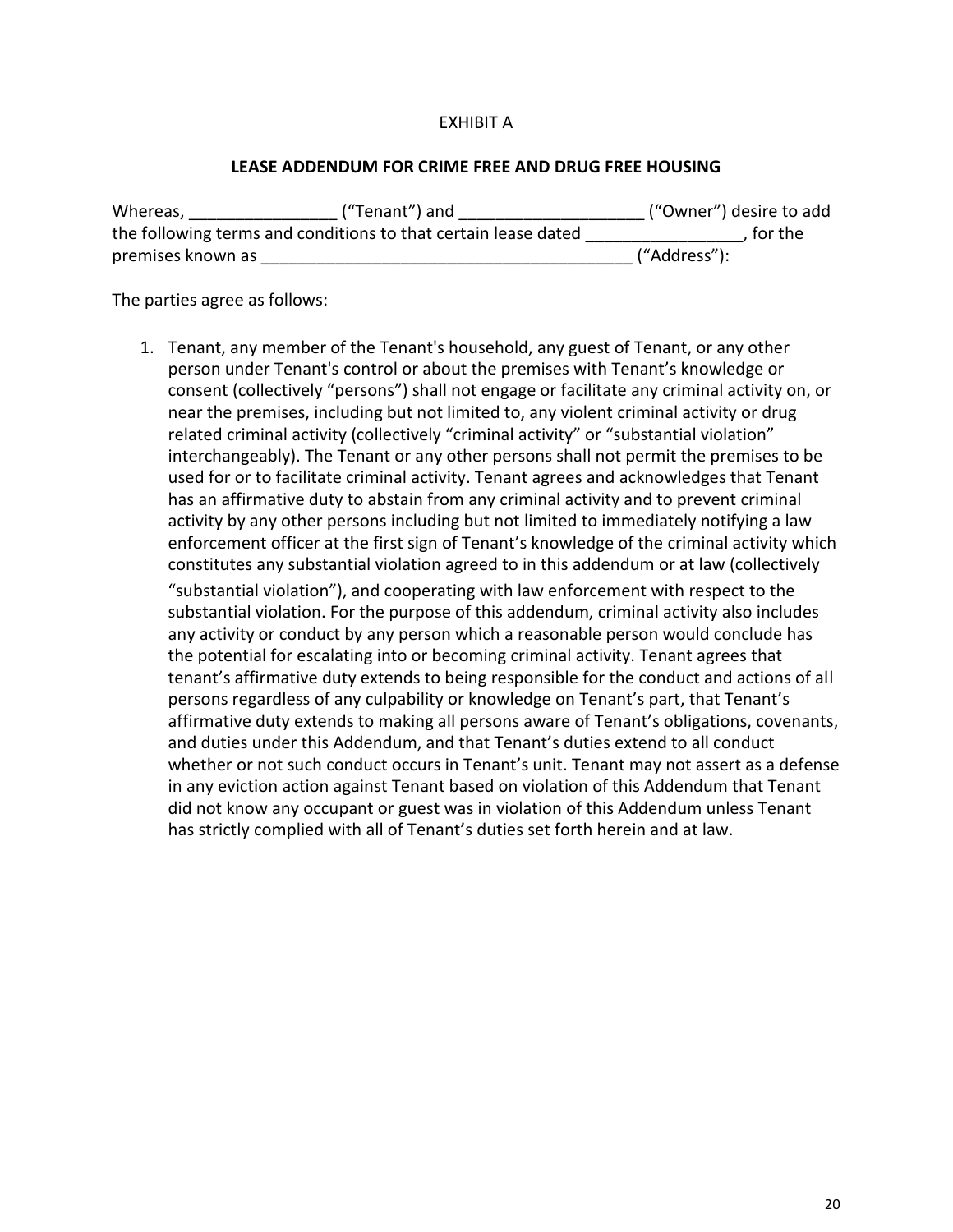#### EXHIBIT A

#### **LEASE ADDENDUM FOR CRIME FREE AND DRUG FREE HOUSING**

| Whereas,                                                       | ("Tenant") and | ("Owner") desire to add |
|----------------------------------------------------------------|----------------|-------------------------|
| the following terms and conditions to that certain lease dated |                | , for the               |
| premises known as                                              |                | ("Address"):            |

The parties agree as follows:

1. Tenant, any member of the Tenant's household, any guest of Tenant, or any other person under Tenant's control or about the premises with Tenant's knowledge or consent (collectively "persons") shall not engage or facilitate any criminal activity on, or near the premises, including but not limited to, any violent criminal activity or drug related criminal activity (collectively "criminal activity" or "substantial violation" interchangeably). The Tenant or any other persons shall not permit the premises to be used for or to facilitate criminal activity. Tenant agrees and acknowledges that Tenant has an affirmative duty to abstain from any criminal activity and to prevent criminal activity by any other persons including but not limited to immediately notifying a law enforcement officer at the first sign of Tenant's knowledge of the criminal activity which constitutes any substantial violation agreed to in this addendum or at law (collectively "substantial violation"), and cooperating with law enforcement with respect to the substantial violation. For the purpose of this addendum, criminal activity also includes any activity or conduct by any person which a reasonable person would conclude has the potential for escalating into or becoming criminal activity. Tenant agrees that tenant's affirmative duty extends to being responsible for the conduct and actions of all persons regardless of any culpability or knowledge on Tenant's part, that Tenant's affirmative duty extends to making all persons aware of Tenant's obligations, covenants, and duties under this Addendum, and that Tenant's duties extend to all conduct whether or not such conduct occurs in Tenant's unit. Tenant may not assert as a defense in any eviction action against Tenant based on violation of this Addendum that Tenant did not know any occupant or guest was in violation of this Addendum unless Tenant has strictly complied with all of Tenant's duties set forth herein and at law.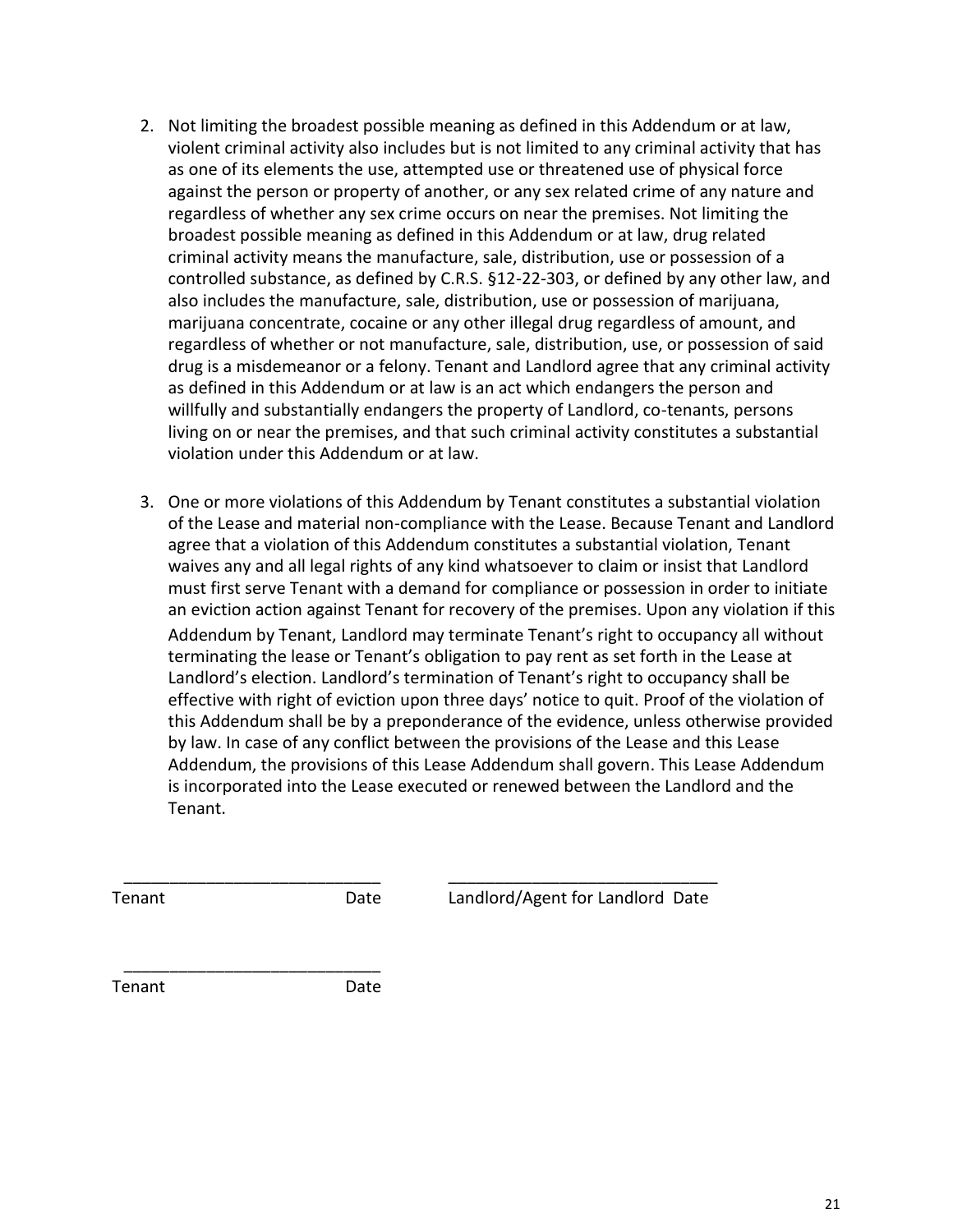- 2. Not limiting the broadest possible meaning as defined in this Addendum or at law, violent criminal activity also includes but is not limited to any criminal activity that has as one of its elements the use, attempted use or threatened use of physical force against the person or property of another, or any sex related crime of any nature and regardless of whether any sex crime occurs on near the premises. Not limiting the broadest possible meaning as defined in this Addendum or at law, drug related criminal activity means the manufacture, sale, distribution, use or possession of a controlled substance, as defined by C.R.S. §12-22-303, or defined by any other law, and also includes the manufacture, sale, distribution, use or possession of marijuana, marijuana concentrate, cocaine or any other illegal drug regardless of amount, and regardless of whether or not manufacture, sale, distribution, use, or possession of said drug is a misdemeanor or a felony. Tenant and Landlord agree that any criminal activity as defined in this Addendum or at law is an act which endangers the person and willfully and substantially endangers the property of Landlord, co-tenants, persons living on or near the premises, and that such criminal activity constitutes a substantial violation under this Addendum or at law.
- 3. One or more violations of this Addendum by Tenant constitutes a substantial violation of the Lease and material non-compliance with the Lease. Because Tenant and Landlord agree that a violation of this Addendum constitutes a substantial violation, Tenant waives any and all legal rights of any kind whatsoever to claim or insist that Landlord must first serve Tenant with a demand for compliance or possession in order to initiate an eviction action against Tenant for recovery of the premises. Upon any violation if this

Addendum by Tenant, Landlord may terminate Tenant's right to occupancy all without terminating the lease or Tenant's obligation to pay rent as set forth in the Lease at Landlord's election. Landlord's termination of Tenant's right to occupancy shall be effective with right of eviction upon three days' notice to quit. Proof of the violation of this Addendum shall be by a preponderance of the evidence, unless otherwise provided by law. In case of any conflict between the provisions of the Lease and this Lease Addendum, the provisions of this Lease Addendum shall govern. This Lease Addendum is incorporated into the Lease executed or renewed between the Landlord and the Tenant.

\_\_\_\_\_\_\_\_\_\_\_\_\_\_\_\_\_\_\_\_\_\_\_\_\_\_\_\_ \_\_\_\_\_\_\_\_\_\_\_\_\_\_\_\_\_\_\_\_\_\_\_\_\_\_\_\_\_

Tenant Date Landlord/Agent for Landlord Date

Tenant Date

\_\_\_\_\_\_\_\_\_\_\_\_\_\_\_\_\_\_\_\_\_\_\_\_\_\_\_\_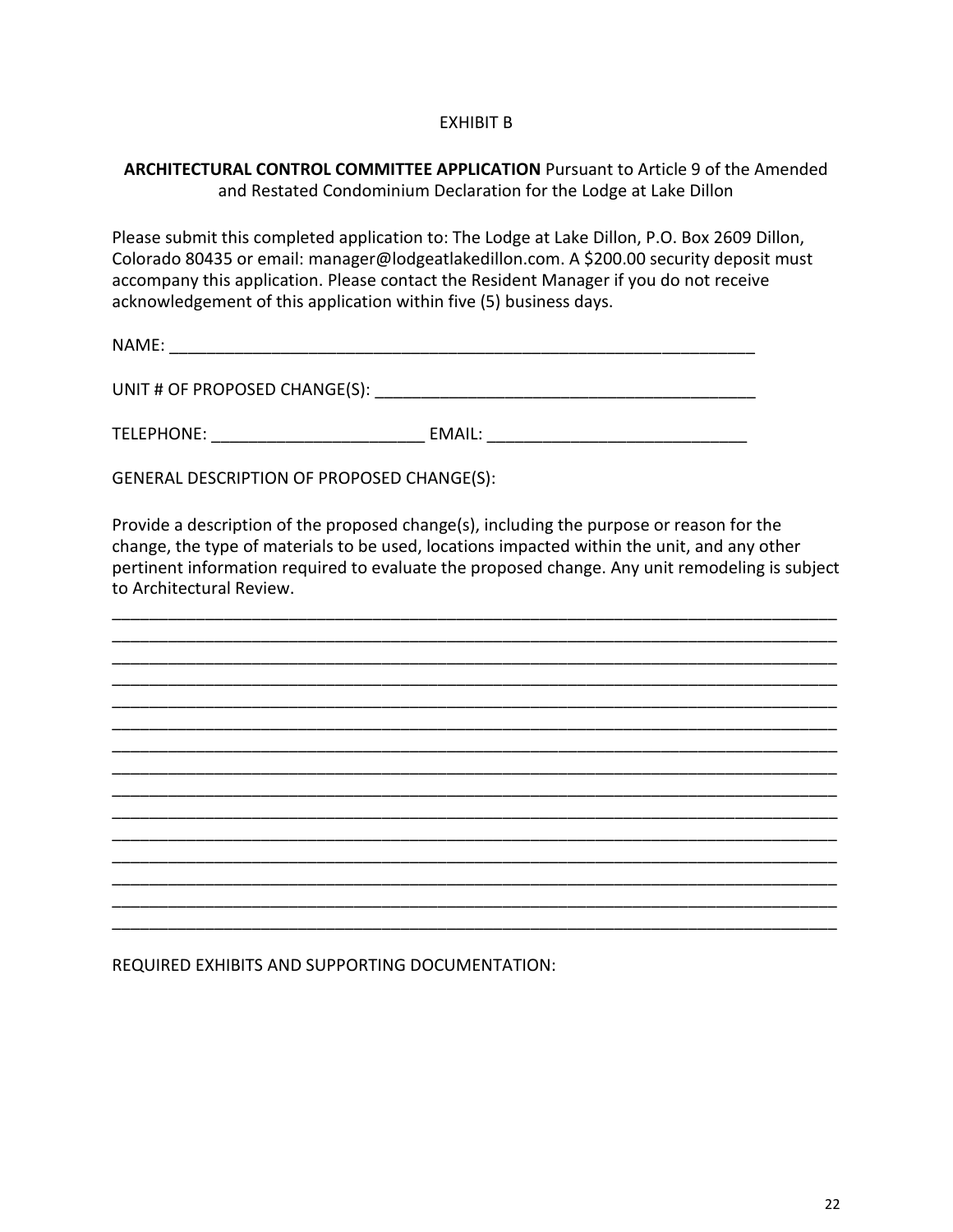#### EXHIBIT B

### **ARCHITECTURAL CONTROL COMMITTEE APPLICATION** Pursuant to Article 9 of the Amended and Restated Condominium Declaration for the Lodge at Lake Dillon

Please submit this completed application to: The Lodge at Lake Dillon, P.O. Box 2609 Dillon, Colorado 80435 or email: manager@lodgeatlakedillon.com. A \$200.00 security deposit must accompany this application. Please contact the Resident Manager if you do not receive acknowledgement of this application within five (5) business days.

NAME: \_\_\_\_\_\_\_\_\_\_\_\_\_\_\_\_\_\_\_\_\_\_\_\_\_\_\_\_\_\_\_\_\_\_\_\_\_\_\_\_\_\_\_\_\_\_\_\_\_\_\_\_\_\_\_\_\_\_\_\_\_\_\_

UNIT # OF PROPOSED CHANGE(S): \_\_\_\_\_\_\_\_\_\_\_\_\_\_\_\_\_\_\_\_\_\_\_\_\_\_\_\_\_\_\_\_\_\_\_\_\_\_\_\_\_

TELEPHONE: \_\_\_\_\_\_\_\_\_\_\_\_\_\_\_\_\_\_\_\_\_\_\_\_\_\_\_\_\_\_ EMAIL: \_\_\_\_\_\_\_\_\_\_\_\_\_\_\_\_\_\_\_\_\_\_\_\_\_\_\_\_\_\_\_

GENERAL DESCRIPTION OF PROPOSED CHANGE(S):

Provide a description of the proposed change(s), including the purpose or reason for the change, the type of materials to be used, locations impacted within the unit, and any other pertinent information required to evaluate the proposed change. Any unit remodeling is subject to Architectural Review.

\_\_\_\_\_\_\_\_\_\_\_\_\_\_\_\_\_\_\_\_\_\_\_\_\_\_\_\_\_\_\_\_\_\_\_\_\_\_\_\_\_\_\_\_\_\_\_\_\_\_\_\_\_\_\_\_\_\_\_\_\_\_\_\_\_\_\_\_\_\_\_\_\_\_\_\_\_\_ \_\_\_\_\_\_\_\_\_\_\_\_\_\_\_\_\_\_\_\_\_\_\_\_\_\_\_\_\_\_\_\_\_\_\_\_\_\_\_\_\_\_\_\_\_\_\_\_\_\_\_\_\_\_\_\_\_\_\_\_\_\_\_\_\_\_\_\_\_\_\_\_\_\_\_\_\_\_ \_\_\_\_\_\_\_\_\_\_\_\_\_\_\_\_\_\_\_\_\_\_\_\_\_\_\_\_\_\_\_\_\_\_\_\_\_\_\_\_\_\_\_\_\_\_\_\_\_\_\_\_\_\_\_\_\_\_\_\_\_\_\_\_\_\_\_\_\_\_\_\_\_\_\_\_\_\_ \_\_\_\_\_\_\_\_\_\_\_\_\_\_\_\_\_\_\_\_\_\_\_\_\_\_\_\_\_\_\_\_\_\_\_\_\_\_\_\_\_\_\_\_\_\_\_\_\_\_\_\_\_\_\_\_\_\_\_\_\_\_\_\_\_\_\_\_\_\_\_\_\_\_\_\_\_\_ \_\_\_\_\_\_\_\_\_\_\_\_\_\_\_\_\_\_\_\_\_\_\_\_\_\_\_\_\_\_\_\_\_\_\_\_\_\_\_\_\_\_\_\_\_\_\_\_\_\_\_\_\_\_\_\_\_\_\_\_\_\_\_\_\_\_\_\_\_\_\_\_\_\_\_\_\_\_ \_\_\_\_\_\_\_\_\_\_\_\_\_\_\_\_\_\_\_\_\_\_\_\_\_\_\_\_\_\_\_\_\_\_\_\_\_\_\_\_\_\_\_\_\_\_\_\_\_\_\_\_\_\_\_\_\_\_\_\_\_\_\_\_\_\_\_\_\_\_\_\_\_\_\_\_\_\_ \_\_\_\_\_\_\_\_\_\_\_\_\_\_\_\_\_\_\_\_\_\_\_\_\_\_\_\_\_\_\_\_\_\_\_\_\_\_\_\_\_\_\_\_\_\_\_\_\_\_\_\_\_\_\_\_\_\_\_\_\_\_\_\_\_\_\_\_\_\_\_\_\_\_\_\_\_\_ \_\_\_\_\_\_\_\_\_\_\_\_\_\_\_\_\_\_\_\_\_\_\_\_\_\_\_\_\_\_\_\_\_\_\_\_\_\_\_\_\_\_\_\_\_\_\_\_\_\_\_\_\_\_\_\_\_\_\_\_\_\_\_\_\_\_\_\_\_\_\_\_\_\_\_\_\_\_ \_\_\_\_\_\_\_\_\_\_\_\_\_\_\_\_\_\_\_\_\_\_\_\_\_\_\_\_\_\_\_\_\_\_\_\_\_\_\_\_\_\_\_\_\_\_\_\_\_\_\_\_\_\_\_\_\_\_\_\_\_\_\_\_\_\_\_\_\_\_\_\_\_\_\_\_\_\_ \_\_\_\_\_\_\_\_\_\_\_\_\_\_\_\_\_\_\_\_\_\_\_\_\_\_\_\_\_\_\_\_\_\_\_\_\_\_\_\_\_\_\_\_\_\_\_\_\_\_\_\_\_\_\_\_\_\_\_\_\_\_\_\_\_\_\_\_\_\_\_\_\_\_\_\_\_\_ \_\_\_\_\_\_\_\_\_\_\_\_\_\_\_\_\_\_\_\_\_\_\_\_\_\_\_\_\_\_\_\_\_\_\_\_\_\_\_\_\_\_\_\_\_\_\_\_\_\_\_\_\_\_\_\_\_\_\_\_\_\_\_\_\_\_\_\_\_\_\_\_\_\_\_\_\_\_ \_\_\_\_\_\_\_\_\_\_\_\_\_\_\_\_\_\_\_\_\_\_\_\_\_\_\_\_\_\_\_\_\_\_\_\_\_\_\_\_\_\_\_\_\_\_\_\_\_\_\_\_\_\_\_\_\_\_\_\_\_\_\_\_\_\_\_\_\_\_\_\_\_\_\_\_\_\_ \_\_\_\_\_\_\_\_\_\_\_\_\_\_\_\_\_\_\_\_\_\_\_\_\_\_\_\_\_\_\_\_\_\_\_\_\_\_\_\_\_\_\_\_\_\_\_\_\_\_\_\_\_\_\_\_\_\_\_\_\_\_\_\_\_\_\_\_\_\_\_\_\_\_\_\_\_\_ \_\_\_\_\_\_\_\_\_\_\_\_\_\_\_\_\_\_\_\_\_\_\_\_\_\_\_\_\_\_\_\_\_\_\_\_\_\_\_\_\_\_\_\_\_\_\_\_\_\_\_\_\_\_\_\_\_\_\_\_\_\_\_\_\_\_\_\_\_\_\_\_\_\_\_\_\_\_ \_\_\_\_\_\_\_\_\_\_\_\_\_\_\_\_\_\_\_\_\_\_\_\_\_\_\_\_\_\_\_\_\_\_\_\_\_\_\_\_\_\_\_\_\_\_\_\_\_\_\_\_\_\_\_\_\_\_\_\_\_\_\_\_\_\_\_\_\_\_\_\_\_\_\_\_\_\_

REQUIRED EXHIBITS AND SUPPORTING DOCUMENTATION: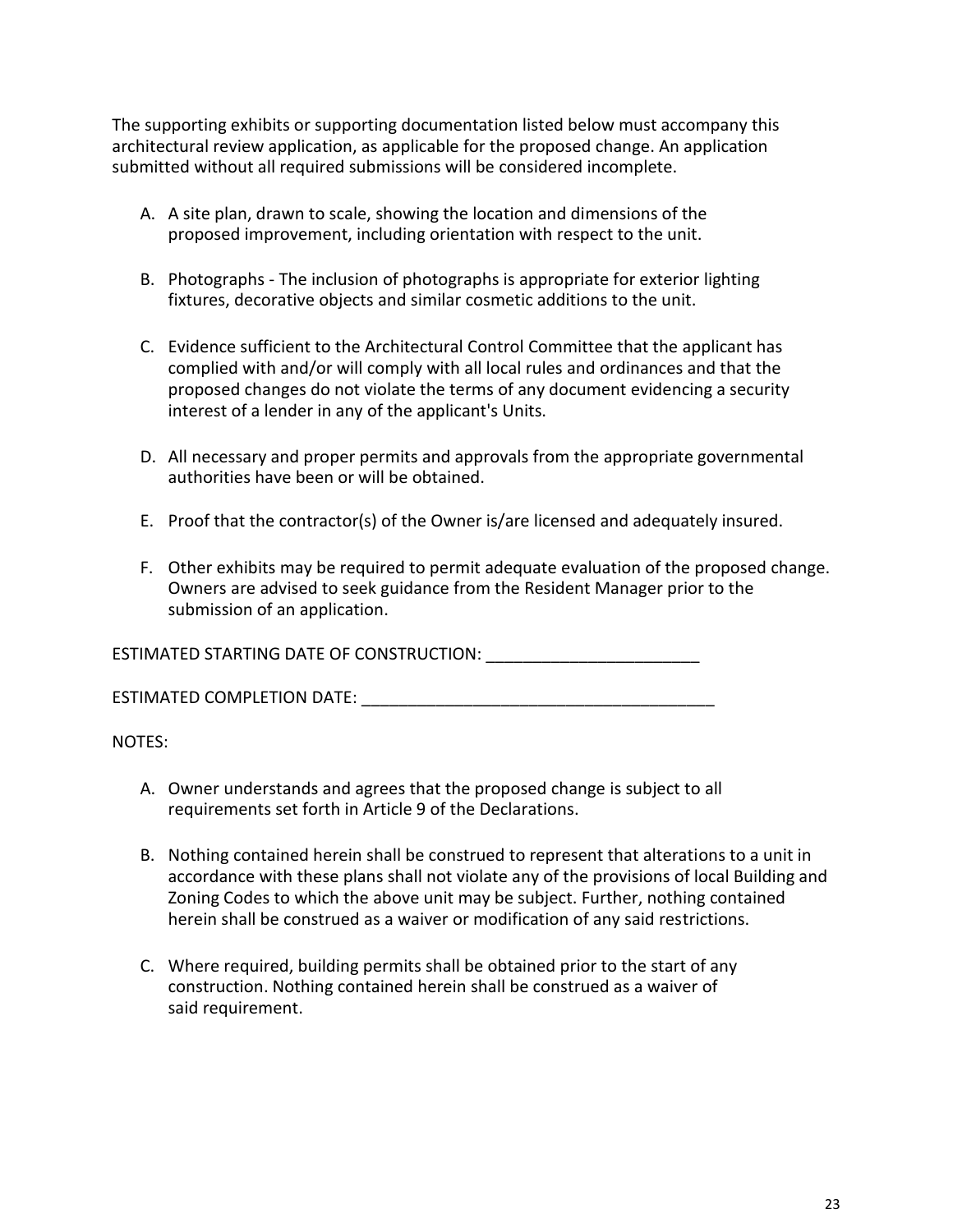The supporting exhibits or supporting documentation listed below must accompany this architectural review application, as applicable for the proposed change. An application submitted without all required submissions will be considered incomplete.

- A. A site plan, drawn to scale, showing the location and dimensions of the proposed improvement, including orientation with respect to the unit.
- B. Photographs The inclusion of photographs is appropriate for exterior lighting fixtures, decorative objects and similar cosmetic additions to the unit.
- C. Evidence sufficient to the Architectural Control Committee that the applicant has complied with and/or will comply with all local rules and ordinances and that the proposed changes do not violate the terms of any document evidencing a security interest of a lender in any of the applicant's Units.
- D. All necessary and proper permits and approvals from the appropriate governmental authorities have been or will be obtained.
- E. Proof that the contractor(s) of the Owner is/are licensed and adequately insured.
- F. Other exhibits may be required to permit adequate evaluation of the proposed change. Owners are advised to seek guidance from the Resident Manager prior to the submission of an application.

ESTIMATED STARTING DATE OF CONSTRUCTION: \_\_\_\_\_\_\_\_\_\_\_\_\_\_\_\_\_\_\_\_\_\_\_

ESTIMATED COMPLETION DATE: **EXAMPLE ENTIMATED** 

NOTES:

- A. Owner understands and agrees that the proposed change is subject to all requirements set forth in Article 9 of the Declarations.
- B. Nothing contained herein shall be construed to represent that alterations to a unit in accordance with these plans shall not violate any of the provisions of local Building and Zoning Codes to which the above unit may be subject. Further, nothing contained herein shall be construed as a waiver or modification of any said restrictions.
- C. Where required, building permits shall be obtained prior to the start of any construction. Nothing contained herein shall be construed as a waiver of said requirement.